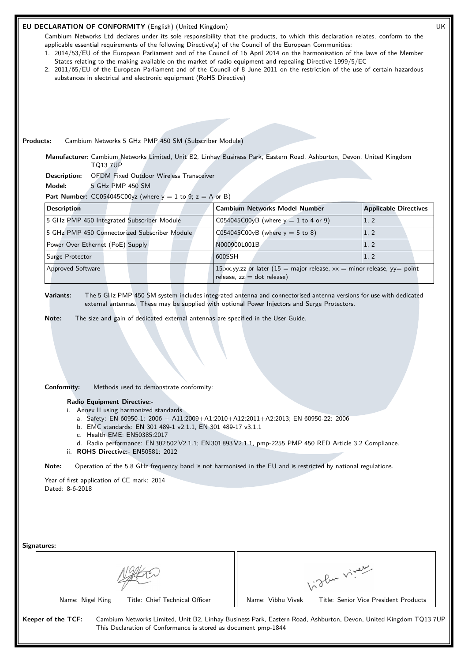## **EU DECLARATION OF CONFORMITY** (English) (United Kingdom) UK

Cambium Networks Ltd declares under its sole responsibility that the products, to which this declaration relates, conform to the applicable essential requirements of the following Directive(s) of the Council of the European Communities:

- 1. 2014/53/EU of the European Parliament and of the Council of 16 April 2014 on the harmonisation of the laws of the Member States relating to the making available on the market of radio equipment and repealing Directive 1999/5/EC
- 2. 2011/65/EU of the European Parliament and of the Council of 8 June 2011 on the restriction of the use of certain hazardous substances in electrical and electronic equipment (RoHS Directive)

**Products:** Cambium Networks 5 GHz PMP 450 SM (Subscriber Module)

**Manufacturer:** Cambium Networks Limited, Unit B2, Linhay Business Park, Eastern Road, Ashburton, Devon, United Kingdom TQ13 7UP

**Description:** OFDM Fixed Outdoor Wireless Transceiver

**Model:** 5 GHz PMP 450 SM

**Part Number:**  $CC054045C00yz$  (where  $y = 1$  to 9;  $z = A$  or B)

| <b>Description</b>                            | <b>Cambium Networks Model Number</b>                                                                       | <b>Applicable Directives</b> |
|-----------------------------------------------|------------------------------------------------------------------------------------------------------------|------------------------------|
| 5 GHz PMP 450 Integrated Subscriber Module    | $CO54045CO0yB$ (where $y = 1$ to 4 or 9)                                                                   | 1, 2                         |
| 5 GHz PMP 450 Connectorized Subscriber Module | C054045C00yB (where $y = 5$ to 8)                                                                          | 1, 2                         |
| Power Over Ethernet (PoE) Supply              | N000900L001B                                                                                               | 1, 2                         |
| Surge Protector                               | 1600SSH                                                                                                    | 1, 2                         |
| <b>Approved Software</b>                      | 15.xx.yy.zz or later (15 = major release, $xx$ = minor release, yy = point<br>release, $zz = dot$ release) |                              |

**Variants:** The 5 GHz PMP 450 SM system includes integrated antenna and connectorised antenna versions for use with dedicated external antennas. These may be supplied with optional Power Injectors and Surge Protectors.

**Note:** The size and gain of dedicated external antennas are specified in the User Guide.

**Conformity:** Methods used to demonstrate conformity:

**Radio Equipment Directive:-**

i. Annex II using harmonized standards

- a. Safety: EN 60950-1: 2006 + A11:2009+A1:2010+A12:2011+A2:2013; EN 60950-22: 2006
- b. EMC standards: EN 301 489-1 v2.1.1, EN 301 489-17 v3.1.1
- c. Health EME: EN50385:2017
- d. Radio performance: EN 302 502 V2.1.1; EN 301 893 V2.1.1, pmp-2255 PMP 450 RED Article 3.2 Compliance. ii. **ROHS Directive:-** EN50581: 2012

**Note:** Operation of the 5.8 GHz frequency band is not harmonised in the EU and is restricted by national regulations.

Year of first application of CE mark: 2014 Dated: 8-6-2018

| glan viver                                                                                                      |
|-----------------------------------------------------------------------------------------------------------------|
| Name: Vibhu Vivek<br>Title: Senior Vice President Products                                                      |
| Cambium Networks Limited, Unit B2, Linhay Business Park, Eastern Road, Ashburton, Devon, United Kingdom TQ137UF |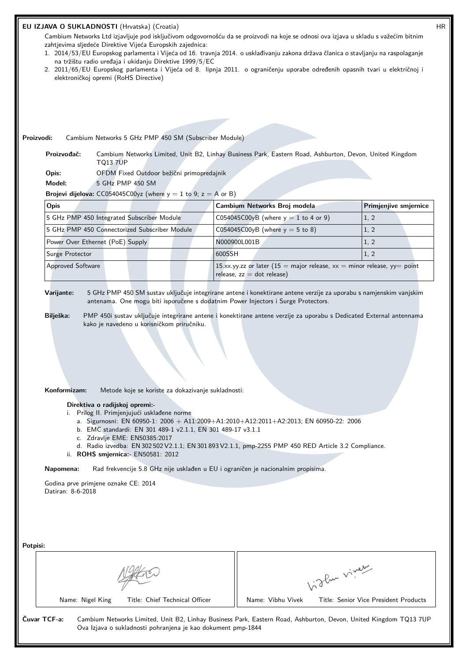## **EU IZJAVA O SUKLADNOSTI** (Hrvatska) (Croatia) HR

Cambium Networks Ltd izjavljuje pod isključivom odgovornošću da se proizvodi na koje se odnosi ova izjava u skladu s važećim bitnim zahtjevima sljedeće Direktive Vijeća Europskih zajednica:

- 1. 2014/53/EU Europskog parlamenta i Vijeća od 16. travnja 2014. o usklađivanju zakona država članica o stavljanju na raspolaganje na tržištu radio uređaja i ukidanju Direktive 1999/5/EC
- 2. 2011/65/EU Europskog parlamenta i Vijeća od 8. lipnja 2011. o ograničenju uporabe određenih opasnih tvari u električnoj i elektroničkoj opremi (RoHS Directive)

**Proizvodi:** Cambium Networks 5 GHz PMP 450 SM (Subscriber Module)

**Proizvođač:** Cambium Networks Limited, Unit B2, Linhay Business Park, Eastern Road, Ashburton, Devon, United Kingdom TQ13 7UP

**Opis:** OFDM Fixed Outdoor bežični primopredajnik

**Model:** 5 GHz PMP 450 SM

**Brojevi dijelova:**  $CC054045C00yz$  (where  $y = 1$  to 9;  $z = A$  or B)

| Opis                                          | Cambium Networks Broj modela                                                                              | <b>Primjenjive smjernice</b> |
|-----------------------------------------------|-----------------------------------------------------------------------------------------------------------|------------------------------|
| 5 GHz PMP 450 Integrated Subscriber Module    | C054045C00yB (where $y = 1$ to 4 or 9)                                                                    | 1, 2                         |
| 5 GHz PMP 450 Connectorized Subscriber Module | C054045C00yB (where $y = 5$ to 8)                                                                         | 1, 2                         |
| Power Over Ethernet (PoE) Supply              | N000900L001B                                                                                              | 1, 2                         |
| Surge Protector                               | 1600SSH                                                                                                   | 1, 2                         |
| <b>Approved Software</b>                      | 15.xx.yy.zz or later (15 = major release, $xx$ = minor release, yy= point<br>release, $zz = dot$ release) |                              |

**Varijante:** 5 GHz PMP 450 SM sustav uključuje integrirane antene i konektirane antene verzije za uporabu s namjenskim vanjskim antenama. One mogu biti isporučene s dodatnim Power Injectors i Surge Protectors.

**Bilješka:** PMP 450i sustav uključuje integrirane antene i konektirane antene verzije za uporabu s Dedicated External antennama kako je navedeno u korisničkom priručniku.

**Konformizam:** Metode koje se koriste za dokazivanje sukladnosti:

**Direktiva o radijskoj opremi:-**

i. Prilog II. Primjenjujući usklađene norme

- a. Sigurnosni: EN 60950-1: 2006 + A11:2009+A1:2010+A12:2011+A2:2013; EN 60950-22: 2006
- b. EMC standardi: EN 301 489-1 v2.1.1, EN 301 489-17 v3.1.1
- c. Zdravlje EME: EN50385:2017
- d. Radio izvedba: EN 302 502 V2.1.1; EN 301 893 V2.1.1, pmp-2255 PMP 450 RED Article 3.2 Compliance.
- ii. **ROHS smjernica:-** EN50581: 2012

**Napomena:** Rad frekvencije 5.8 GHz nije usklađen u EU i ograničen je nacionalnim propisima.

Godina prve primjene oznake CE: 2014 Datiran: 8-6-2018

| Potpisi: |              |                  |                                                              |                   |                                                                                                                  |
|----------|--------------|------------------|--------------------------------------------------------------|-------------------|------------------------------------------------------------------------------------------------------------------|
|          |              |                  | 1. The viver                                                 |                   |                                                                                                                  |
|          |              | Name: Nigel King | Title: Chief Technical Officer                               | Name: Vibhu Vivek | Title: Senior Vice President Products                                                                            |
|          | Čuvar TCF-a: |                  | Ova Izjava o sukladnosti pohranjena je kao dokument pmp-1844 |                   | Cambium Networks Limited, Unit B2, Linhay Business Park, Eastern Road, Ashburton, Devon, United Kingdom TQ13 7UP |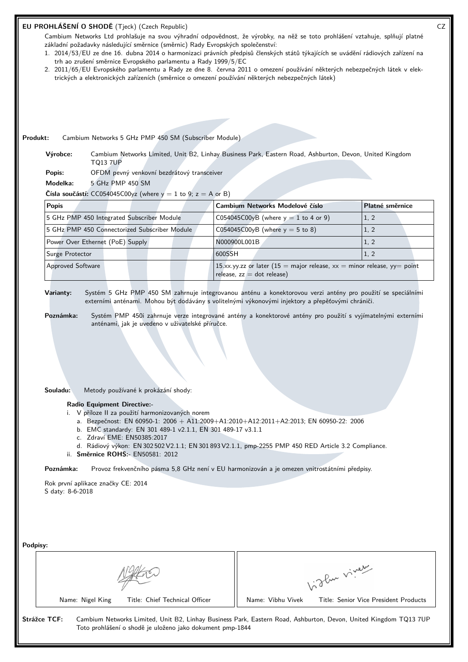|                               |                                                                                                          | EU PROHLÁŠENÍ O SHODĚ (Tjeck) (Czech Republic)<br>trh ao zrušení směrnice Evropského parlamentu a Rady 1999/5/EC | Cambium Networks Ltd prohlašuje na svou výhradní odpovědnost, že výrobky, na něž se toto prohlášení vztahuje, splňují platné<br>základní požadavky následující směrnice (směrnic) Rady Evropských společenství:<br>1. 2014/53/EU ze dne 16. dubna 2014 o harmonizaci právních předpisů členských států týkajících se uvádění rádiových zařízení na<br>2. 2011/65/EU Evropského parlamentu a Rady ze dne 8. června 2011 o omezení používání některých nebezpečných látek v elek-<br>trických a elektronických zařízeních (směrnice o omezení používání některých nebezpečných látek) |              |                 |  |
|-------------------------------|----------------------------------------------------------------------------------------------------------|------------------------------------------------------------------------------------------------------------------|-------------------------------------------------------------------------------------------------------------------------------------------------------------------------------------------------------------------------------------------------------------------------------------------------------------------------------------------------------------------------------------------------------------------------------------------------------------------------------------------------------------------------------------------------------------------------------------|--------------|-----------------|--|
|                               |                                                                                                          |                                                                                                                  |                                                                                                                                                                                                                                                                                                                                                                                                                                                                                                                                                                                     |              |                 |  |
| Produkt:<br>Výrobce:          |                                                                                                          | Cambium Networks 5 GHz PMP 450 SM (Subscriber Module)                                                            | Cambium Networks Limited, Unit B2, Linhay Business Park, Eastern Road, Ashburton, Devon, United Kingdom                                                                                                                                                                                                                                                                                                                                                                                                                                                                             |              |                 |  |
|                               | <b>TQ13 7UP</b>                                                                                          |                                                                                                                  |                                                                                                                                                                                                                                                                                                                                                                                                                                                                                                                                                                                     |              |                 |  |
| Popis:<br>Modelka:            | 5 GHz PMP 450 SM                                                                                         | OFDM pevný venkovní bezdrátový transceiver                                                                       |                                                                                                                                                                                                                                                                                                                                                                                                                                                                                                                                                                                     |              |                 |  |
|                               |                                                                                                          | <b>Čísla součástí:</b> CC054045C00yz (where $y = 1$ to 9; $z = A$ or B)                                          |                                                                                                                                                                                                                                                                                                                                                                                                                                                                                                                                                                                     |              |                 |  |
| <b>Popis</b>                  |                                                                                                          |                                                                                                                  | Cambium Networks Modelové číslo                                                                                                                                                                                                                                                                                                                                                                                                                                                                                                                                                     |              | Platné směrnice |  |
|                               | 5 GHz PMP 450 Integrated Subscriber Module                                                               |                                                                                                                  | C054045C00yB (where $y = 1$ to 4 or 9)                                                                                                                                                                                                                                                                                                                                                                                                                                                                                                                                              |              | 1, 2            |  |
|                               | 5 GHz PMP 450 Connectorized Subscriber Module                                                            |                                                                                                                  | C054045C00yB (where $y = 5$ to 8)                                                                                                                                                                                                                                                                                                                                                                                                                                                                                                                                                   |              | 1, 2            |  |
|                               | Power Over Ethernet (PoE) Supply                                                                         |                                                                                                                  | N000900L001B                                                                                                                                                                                                                                                                                                                                                                                                                                                                                                                                                                        |              | 1, 2            |  |
| Surge Protector               |                                                                                                          |                                                                                                                  | 600SSH                                                                                                                                                                                                                                                                                                                                                                                                                                                                                                                                                                              |              | 1, 2            |  |
| Approved Software             |                                                                                                          |                                                                                                                  | 15.xx.yy.zz or later (15 = major release, $xx$ = minor release, yy = point                                                                                                                                                                                                                                                                                                                                                                                                                                                                                                          |              |                 |  |
| Varianty:<br>Poznámka:        |                                                                                                          | anténami, jak je uvedeno v uživatelské příručce.                                                                 | release, $zz = dot$ release)<br>Systém 5 GHz PMP 450 SM zahrnuje integrovanou anténu a konektorovou verzi antény pro použití se speciálními<br>externími anténami. Mohou být dodávány s volitelnými výkonovými injektory a přepěťovými chrániči.<br>Systém PMP 450i zahrnuje verze integrované antény a konektorové antény pro použití s vyjímatelnými externími                                                                                                                                                                                                                    |              |                 |  |
| Souladu:                      | Metody používané k prokázání shody:<br><b>Radio Equipment Directive:-</b><br>c. Zdraví EME: EN50385:2017 | i. V příloze II za použití harmonizovaných norem                                                                 | a. Bezpečnost: EN 60950-1: 2006 + A11:2009+A1:2010+A12:2011+A2:2013; EN 60950-22: 2006<br>b. EMC standardy: EN 301 489-1 v2.1.1, EN 301 489-17 v3.1.1<br>d. Rádiový výkon: EN 302 502 V2.1.1; EN 301 893 V2.1.1, pmp-2255 PMP 450 RED Article 3.2 Compliance.                                                                                                                                                                                                                                                                                                                       |              |                 |  |
|                               | ii. Směrnice ROHS: - EN50581: 2012                                                                       |                                                                                                                  |                                                                                                                                                                                                                                                                                                                                                                                                                                                                                                                                                                                     |              |                 |  |
| Poznámka:<br>S daty: 8-6-2018 | Rok první aplikace značky CE: 2014                                                                       |                                                                                                                  | Provoz frekvenčního pásma 5,8 GHz není v EU harmonizován a je omezen vnitrostátními předpisy.                                                                                                                                                                                                                                                                                                                                                                                                                                                                                       |              |                 |  |
| Podpisy:                      |                                                                                                          |                                                                                                                  |                                                                                                                                                                                                                                                                                                                                                                                                                                                                                                                                                                                     |              |                 |  |
|                               |                                                                                                          |                                                                                                                  |                                                                                                                                                                                                                                                                                                                                                                                                                                                                                                                                                                                     | Vidley viney |                 |  |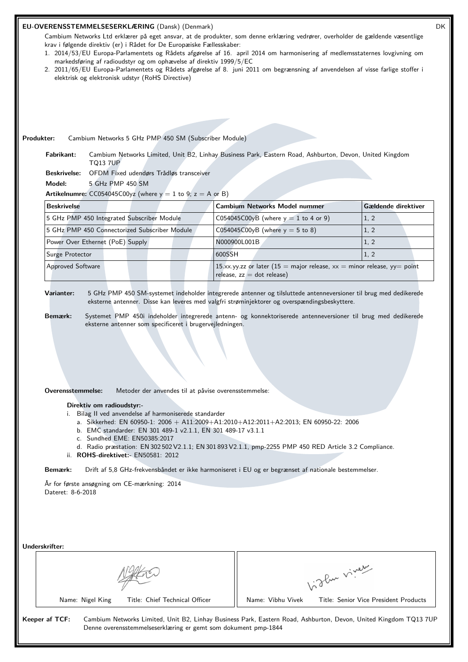## **EU-OVERENSSTEMMELSESERKLÆRING** (Dansk) (Denmark) DK

Cambium Networks Ltd erklærer på eget ansvar, at de produkter, som denne erklæring vedrører, overholder de gældende væsentlige krav i følgende direktiv (er) i Rådet for De Europæiske Fællesskaber:

- 1. 2014/53/EU Europa-Parlamentets og Rådets afgørelse af 16. april 2014 om harmonisering af medlemsstaternes lovgivning om markedsføring af radioudstyr og om ophævelse af direktiv 1999/5/EC
- 2. 2011/65/EU Europa-Parlamentets og Rådets afgørelse af 8. juni 2011 om begrænsning af anvendelsen af visse farlige stoffer i elektrisk og elektronisk udstyr (RoHS Directive)

**Produkter:** Cambium Networks 5 GHz PMP 450 SM (Subscriber Module)

**Fabrikant:** Cambium Networks Limited, Unit B2, Linhay Business Park, Eastern Road, Ashburton, Devon, United Kingdom TQ13 7UP

**Beskrivelse:** OFDM Fixed udendørs Trådløs transceiver

**Model:** 5 GHz PMP 450 SM

**Artikelnumre:**  $CC054045C00yz$  (where  $y = 1$  to 9;  $z = A$  or B)

| <b>Beskrivelse</b>                            | <b>Cambium Networks Model nummer</b>                                                                       | Gældende direktiver |
|-----------------------------------------------|------------------------------------------------------------------------------------------------------------|---------------------|
| 5 GHz PMP 450 Integrated Subscriber Module    | C054045C00yB (where $y = 1$ to 4 or 9)                                                                     | 1, 2                |
| 5 GHz PMP 450 Connectorized Subscriber Module | C054045C00yB (where $y = 5$ to 8)                                                                          | 1, 2                |
| Power Over Ethernet (PoE) Supply              | N000900L001B                                                                                               | 1, 2                |
| Surge Protector                               | 1600SSH                                                                                                    | 1, 2                |
| <b>Approved Software</b>                      | 15.xx.yy.zz or later (15 = major release, $xx$ = minor release, yy = point<br>release, $zz = dot$ release) |                     |

**Varianter:** 5 GHz PMP 450 SM-systemet indeholder integrerede antenner og tilsluttede antenneversioner til brug med dedikerede eksterne antenner. Disse kan leveres med valgfri strøminjektorer og overspændingsbeskyttere.

**Bemærk:** Systemet PMP 450i indeholder integrerede antenn- og konnektoriserede antenneversioner til brug med dedikerede eksterne antenner som specificeret i brugervejledningen.

**Overensstemmelse:** Metoder der anvendes til at påvise overensstemmelse:

#### **Direktiv om radioudstyr:-**

i. Bilag II ved anvendelse af harmoniserede standarder

- a. Sikkerhed: EN 60950-1: 2006 + A11:2009+A1:2010+A12:2011+A2:2013; EN 60950-22: 2006
- b. EMC standarder: EN 301 489-1 v2.1.1, EN 301 489-17 v3.1.1
- c. Sundhed EME: EN50385:2017
- d. Radio præstation: EN 302 502 V2.1.1; EN 301 893 V2.1.1, pmp-2255 PMP 450 RED Article 3.2 Compliance.
- ii. **ROHS-direktivet:-** EN50581: 2012

**Bemærk:** Drift af 5,8 GHz-frekvensbåndet er ikke harmoniseret i EU og er begrænset af nationale bestemmelser.

År for første ansøgning om CE-mærkning: 2014 Dateret: 8-6-2018

**Underskrifter:**

| Algebra |
|---------|
|         |

Name: Nigel King Title: Chief Technical Officer | Name: Vibhu Vivek Title: Senior Vice President Products

Vidley viney

**Keeper af TCF:** Cambium Networks Limited, Unit B2, Linhay Business Park, Eastern Road, Ashburton, Devon, United Kingdom TQ13 7UP Denne overensstemmelseserklæring er gemt som dokument pmp-1844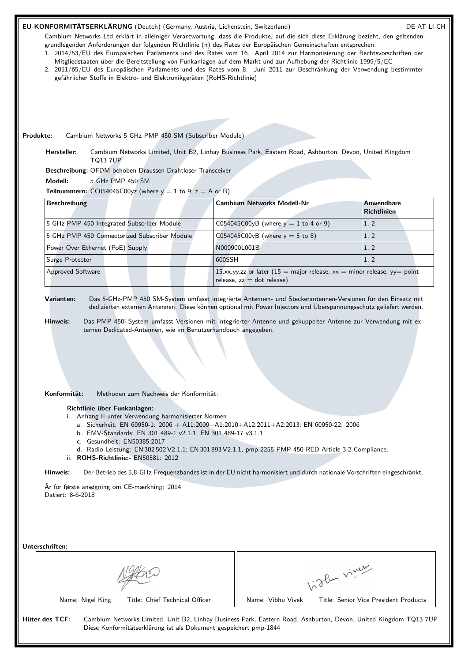# EU-KONFORMITÄTSERKLÄRUNG (Deutch) (Germany, Austria, Lichenstein, Switzerland) DE AT LI CH

Cambium Networks Ltd erklärt in alleiniger Verantwortung, dass die Produkte, auf die sich diese Erklärung bezieht, den geltenden grundlegenden Anforderungen der folgenden Richtlinie (n) des Rates der Europäischen Gemeinschaften entsprechen:

- 1. 2014/53/EU des Europäischen Parlaments und des Rates vom 16. April 2014 zur Harmonisierung der Rechtsvorschriften der Mitgliedstaaten über die Bereitstellung von Funkanlagen auf dem Markt und zur Aufhebung der Richtlinie 1999/5/EC
- 2. 2011/65/EU des Europäischen Parlaments und des Rates vom 8. Juni 2011 zur Beschränkung der Verwendung bestimmter gefährlicher Stoffe in Elektro- und Elektronikgeräten (RoHS-Richtlinie)

**Produkte:** Cambium Networks 5 GHz PMP 450 SM (Subscriber Module)

**Hersteller:** Cambium Networks Limited, Unit B2, Linhay Business Park, Eastern Road, Ashburton, Devon, United Kingdom TQ13 7UP

**Beschreibung:** OFDM behoben Draussen Drahtloser Transceiver

**Modell:** 5 GHz PMP 450 SM

**Teilnummern:**  $CC054045C00yz$  (where  $y = 1$  to 9;  $z = A$  or B)

| <b>Beschreibung</b>                           | <b>Cambium Networks Modell-Nr</b>                                                                          | Anwendbare<br><b>Richtlinien</b> |
|-----------------------------------------------|------------------------------------------------------------------------------------------------------------|----------------------------------|
| 5 GHz PMP 450 Integrated Subscriber Module    | C054045C00yB (where $y = 1$ to 4 or 9)                                                                     | 1, 2                             |
| 5 GHz PMP 450 Connectorized Subscriber Module | C054045C00yB (where $y = 5$ to 8)                                                                          | 1, 2                             |
| Power Over Ethernet (PoE) Supply              | N000900L001B                                                                                               | 1, 2                             |
| Surge Protector                               | 1600SSH                                                                                                    | 1, 2                             |
| <b>Approved Software</b>                      | 15.xx.yy.zz or later (15 = major release, $xx$ = minor release, yy = point<br>release, $zz = dot$ release) |                                  |

**Varianten:** Das 5-GHz-PMP 450 SM-System umfasst integrierte Antennen- und Steckerantennen-Versionen für den Einsatz mit dedizierten externen Antennen. Diese können optional mit Power Injectors und Überspannungsschutz geliefert werden.

**Hinweis:** Das PMP 450i-System umfasst Versionen mit integrierter Antenne und gekuppelter Antenne zur Verwendung mit externen Dedicated-Antennen, wie im Benutzerhandbuch angegeben.

**Konformität:** Methoden zum Nachweis der Konformität:

## **Richtlinie über Funkanlagen:-**

- i. Anhang II unter Verwendung harmonisierter Normen
	- a. Sicherheit: EN 60950-1: 2006 + A11:2009+A1:2010+A12:2011+A2:2013; EN 60950-22: 2006
	- b. EMV-Standards: EN 301 489-1 v2.1.1, EN 301 489-17 v3.1.1
	- c. Gesundheit: EN50385:2017
	- d. Radio-Leistung: EN 302 502 V2.1.1; EN 301 893 V2.1.1, pmp-2255 PMP 450 RED Article 3.2 Compliance.
- ii. **ROHS-Richtlinie:-** EN50581: 2012

**Hinweis:** Der Betrieb des 5,8-GHz-Frequenzbandes ist in der EU nicht harmonisiert und durch nationale Vorschriften eingeschränkt.

År for første ansøgning om CE-mærkning: 2014 Datiert: 8-6-2018

**Unterschriften:**

|                                                    | The viver                                                                                                        |
|----------------------------------------------------|------------------------------------------------------------------------------------------------------------------|
| Title: Chief Technical Officer<br>Name: Nigel King | Name: Vibhu Vivek<br>Title: Senior Vice President Products                                                       |
| Hüter des TCF:                                     | Cambium Networks Limited, Unit B2, Linhay Business Park, Eastern Road, Ashburton, Devon, United Kingdom TQ13 7UP |

Diese Konformitätserklärung ist als Dokument gespeichert pmp-1844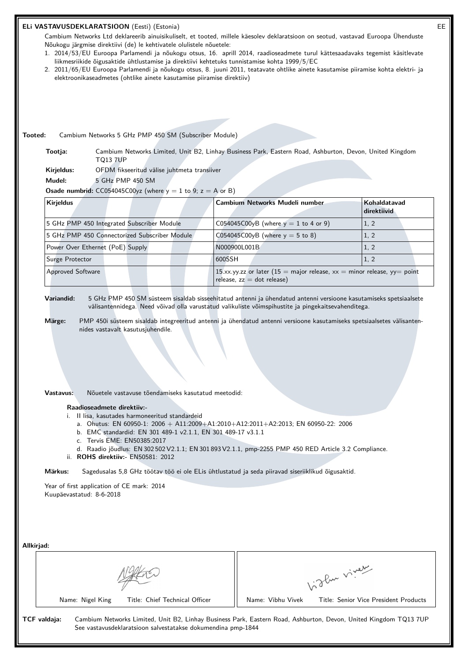## **ELi VASTAVUSDEKLARATSIOON** (Eesti) (Estonia) EE

Cambium Networks Ltd deklareerib ainuisikuliselt, et tooted, millele käesolev deklaratsioon on seotud, vastavad Euroopa Ühenduste Nõukogu järgmise direktiivi (de) le kehtivatele olulistele nõuetele:

- 1. 2014/53/EU Euroopa Parlamendi ja nõukogu otsus, 16. aprill 2014, raadioseadmete turul kättesaadavaks tegemist käsitlevate liikmesriikide õigusaktide ühtlustamise ja direktiivi kehtetuks tunnistamise kohta 1999/5/EC
- 2. 2011/65/EU Euroopa Parlamendi ja nõukogu otsus, 8. juuni 2011, teatavate ohtlike ainete kasutamise piiramise kohta elektri- ja elektroonikaseadmetes (ohtlike ainete kasutamise piiramise direktiiv)

**Tooted:** Cambium Networks 5 GHz PMP 450 SM (Subscriber Module)

**Tootja:** Cambium Networks Limited, Unit B2, Linhay Business Park, Eastern Road, Ashburton, Devon, United Kingdom TQ13 7UP

**Kirjeldus:** OFDM fikseeritud välise juhtmeta transiiver

**Mudel:** 5 GHz PMP 450 SM

**Osade numbrid:**  $CC054045C00yz$  (where  $y = 1$  to 9;  $z = A$  or B)

| <b>Kirjeldus</b>                              | Cambium Networks Mudeli number                                                                               | Kohaldatavad<br>direktiivid |
|-----------------------------------------------|--------------------------------------------------------------------------------------------------------------|-----------------------------|
| 5 GHz PMP 450 Integrated Subscriber Module    | C054045C00yB (where $y = 1$ to 4 or 9)                                                                       | 1, 2                        |
| 5 GHz PMP 450 Connectorized Subscriber Module | C054045C00yB (where $y = 5$ to 8)                                                                            | 1, 2                        |
| Power Over Ethernet (PoE) Supply              | N000900L001B                                                                                                 | 1, 2                        |
| Surge Protector                               | 1600SSH                                                                                                      | 1, 2                        |
| <b>Approved Software</b>                      | 15.xx.yy.zz or later (15 = major release, $xx =$ minor release, $yy =$ point<br>release, $zz = dot$ release) |                             |

**Variandid:** 5 GHz PMP 450 SM süsteem sisaldab sisseehitatud antenni ja ühendatud antenni versioone kasutamiseks spetsiaalsete välisantennidega. Need võivad olla varustatud valikuliste võimspihustite ja pingekaitsevahenditega.

**Märge:** PMP 450i süsteem sisaldab integreeritud antenni ja ühendatud antenni versioone kasutamiseks spetsiaalsetes välisantennides vastavalt kasutusjuhendile.

**Vastavus:** Nõuetele vastavuse tõendamiseks kasutatud meetodid:

#### **Raadioseadmete direktiiv:-**

- i. II lisa, kasutades harmoneeritud standardeid
	- a. Ohutus: EN 60950-1: 2006 + A11:2009+A1:2010+A12:2011+A2:2013; EN 60950-22: 2006
	- b. EMC standardid: EN 301 489-1 v2.1.1, EN 301 489-17 v3.1.1
	- c. Tervis EME: EN50385:2017
	- d. Raadio jõudlus: EN 302 502 V2.1.1; EN 301 893 V2.1.1, pmp-2255 PMP 450 RED Article 3.2 Compliance.
- ii. **ROHS direktiiv:-** EN50581: 2012

**Märkus:** Sagedusalas 5,8 GHz töötav töö ei ole ELis ühtlustatud ja seda piiravad siseriiklikud õigusaktid.

Year of first application of CE mark: 2014 Kuupäevastatud: 8-6-2018

| Allkirjad: |                                                                                                                                                                                                  |                   |                                       |
|------------|--------------------------------------------------------------------------------------------------------------------------------------------------------------------------------------------------|-------------------|---------------------------------------|
|            |                                                                                                                                                                                                  | 1:3 Pur viver     |                                       |
|            | Title: Chief Technical Officer<br>Name: Nigel King                                                                                                                                               | Name: Vibhu Vivek | Title: Senior Vice President Products |
|            | TCF valdaja:<br>Cambium Networks Limited, Unit B2, Linhay Business Park, Eastern Road, Ashburton, Devon, United Kingdom TQ13 7UP<br>See vastavusdeklaratsioon salvestatakse dokumendina pmp-1844 |                   |                                       |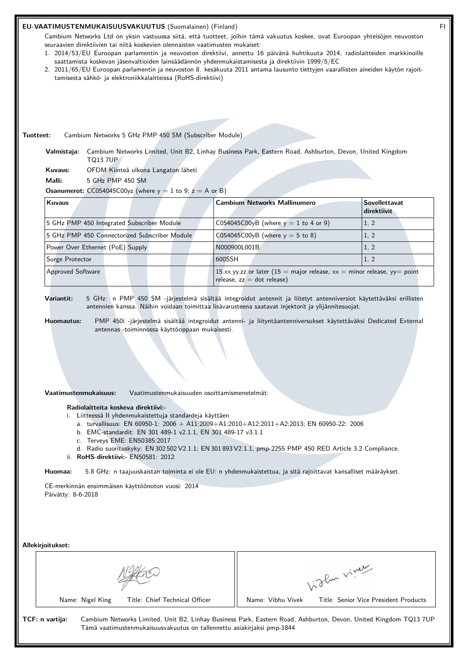## **EU-VAATIMUSTENMUKAISUUSVAKUUTUS** (Suomalainen) (Finland) FI

Cambium Networks Ltd on yksin vastuussa siitä, että tuotteet, joihin tämä vakuutus koskee, ovat Euroopan yhteisöjen neuvoston seuraavien direktiivien tai niitä koskevien olennaisten vaatimusten mukaiset:

- 1. 2014/53/EU Euroopan parlamentin ja neuvoston direktiivi, annettu 16 päivänä huhtikuuta 2014, radiolaitteiden markkinoille saattamista koskevan jäsenvaltioiden lainsäädännön yhdenmukaistamisesta ja direktiivin 1999/5/EC
- 2. 2011/65/EU Euroopan parlamentin ja neuvoston 8. kesäkuuta 2011 antama lausunto tiettyjen vaarallisten aineiden käytön rajoittamisesta sähkö- ja elektroniikkalaitteissa (RoHS-direktiivi)

**Tuotteet:** Cambium Networks 5 GHz PMP 450 SM (Subscriber Module)

**Valmistaja:** Cambium Networks Limited, Unit B2, Linhay Business Park, Eastern Road, Ashburton, Devon, United Kingdom TQ13 7UP

**Kuvaus:** OFDM Kiinteä ulkona Langaton läheti

**Malli:** 5 GHz PMP 450 SM

**Osanumerot:**  $CC054045C00yz$  (where  $y = 1$  to 9;  $z = A$  or B)

| Kuvaus                                        | <b>Cambium Networks Mallinumero</b>                                                                       | <b>Sovellettavat</b><br>direktiivit |
|-----------------------------------------------|-----------------------------------------------------------------------------------------------------------|-------------------------------------|
| 5 GHz PMP 450 Integrated Subscriber Module    | C054045C00yB (where $y = 1$ to 4 or 9)                                                                    | 1, 2                                |
| 5 GHz PMP 450 Connectorized Subscriber Module | C054045C00yB (where $y = 5$ to 8)                                                                         | 1, 2                                |
| Power Over Ethernet (PoE) Supply              | N000900L001B                                                                                              | 1, 2                                |
| Surge Protector                               | 1600SSH                                                                                                   | 1, 2                                |
| <b>Approved Software</b>                      | 15.xx.yy.zz or later (15 = major release, $xx =$ minor release, yy= point<br>release, $zz = dot$ release) |                                     |

**Variantit:** 5 GHz: n PMP 450 SM -järjestelmä sisältää integroidut antennit ja liitetyt antenniversiot käytettäväksi erillisten antennien kanssa. Näihin voidaan toimittaa lisävarusteena saatavat injektorit ja ylijännitesuojat.

**Huomautus:** PMP 450i -järjestelmä sisältää integroidut antenni- ja liityntäantenniversukset käytettäväksi Dedicated External antennas -toiminnossa käyttöoppaan mukaisesti.

**Vaatimustenmukaisuus:** Vaatimustenmukaisuuden osoittamismenetelmät:

**Radiolaitteita koskeva direktiivi:-**

- i. Liitteessä II yhdenmukaistettuja standardeja käyttäen
	- a. turvallisuus: EN 60950-1: 2006 + A11:2009+A1:2010+A12:2011+A2:2013; EN 60950-22: 2006
	- b. EMC-standardit: EN 301 489-1 v2.1.1, EN 301 489-17 v3.1.1
	- c. Terveys EME: EN50385:2017
	- d. Radio suorituskyky: EN 302 502 V2.1.1; EN 301 893 V2.1.1, pmp-2255 PMP 450 RED Article 3.2 Compliance.
- ii. **RoHS-direktiivi:-** EN50581: 2012

**Huomaa:** 5.8 GHz: n taajuuskaistan toiminta ei ole EU: n yhdenmukaistettua, ja sitä rajoittavat kansalliset määräykset.

CE-merkinnän ensimmäisen käyttöönoton vuosi: 2014 Päivätty: 8-6-2018

**Allekirjoitukset:**

| AIIUNII juitunaut. |                                                                        |                                                                                                                  |  |
|--------------------|------------------------------------------------------------------------|------------------------------------------------------------------------------------------------------------------|--|
|                    |                                                                        | glue viver                                                                                                       |  |
|                    | Title: Chief Technical Officer<br>Name: Nigel King                     | Name: Vibhu Vivek<br>Title: Senior Vice President Products                                                       |  |
| TCF: n vartija:    | Tämä vaatimustenmukaisuusvakuutus on tallennettu asiakirjaksi pmp-1844 | Cambium Networks Limited, Unit B2, Linhay Business Park, Eastern Road, Ashburton, Devon, United Kingdom TQ13 7UP |  |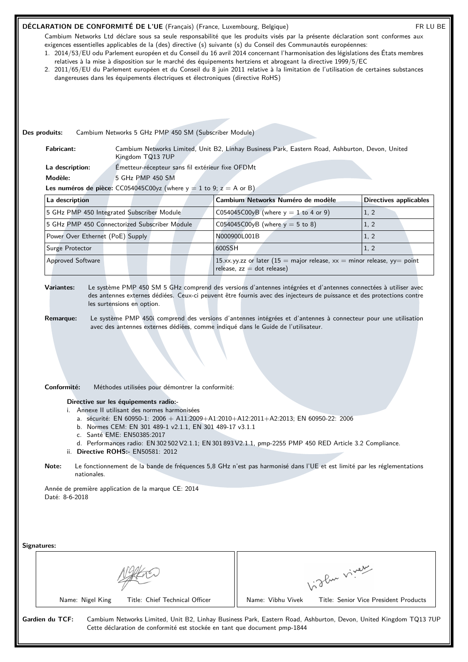# DÉCLARATION DE CONFORMITÉ DE L'UE (Français) (France, Luxembourg, Belgique) FR LU BE

**Des produits:** Cambium Networks 5 GHz PMP 450 SM (Subscriber Module)

Cambium Networks Ltd déclare sous sa seule responsabilité que les produits visés par la présente déclaration sont conformes aux exigences essentielles applicables de la (des) directive (s) suivante (s) du Conseil des Communautés européennes:

- 1. 2014/53/EU odu Parlement européen et du Conseil du 16 avril 2014 concernant l'harmonisation des législations des États membres relatives à la mise à disposition sur le marché des équipements hertziens et abrogeant la directive 1999/5/EC
- 2. 2011/65/EU du Parlement européen et du Conseil du 8 juin 2011 relative à la limitation de l'utilisation de certaines substances dangereuses dans les équipements électriques et électroniques (directive RoHS)

| La description:                  | Émetteur-récepteur sans fil extérieur fixe OFDMt                                                                                                                              |                                                                                                                                                                                                                                                                                                                              |                               |  |  |
|----------------------------------|-------------------------------------------------------------------------------------------------------------------------------------------------------------------------------|------------------------------------------------------------------------------------------------------------------------------------------------------------------------------------------------------------------------------------------------------------------------------------------------------------------------------|-------------------------------|--|--|
| Modèle:                          | 5 GHz PMP 450 SM                                                                                                                                                              |                                                                                                                                                                                                                                                                                                                              |                               |  |  |
|                                  | Les numéros de pièce: CC054045C00yz (where $y = 1$ to 9; $z = A$ or B)                                                                                                        |                                                                                                                                                                                                                                                                                                                              |                               |  |  |
| La description                   |                                                                                                                                                                               | Cambium Networks Numéro de modèle                                                                                                                                                                                                                                                                                            | <b>Directives applicables</b> |  |  |
|                                  | 5 GHz PMP 450 Integrated Subscriber Module                                                                                                                                    | C054045C00yB (where $y = 1$ to 4 or 9)                                                                                                                                                                                                                                                                                       | 1, 2                          |  |  |
|                                  | 5 GHz PMP 450 Connectorized Subscriber Module                                                                                                                                 | C054045C00yB (where $y = 5$ to 8)                                                                                                                                                                                                                                                                                            | 1, 2                          |  |  |
| Power Over Ethernet (PoE) Supply |                                                                                                                                                                               | N000900L001B                                                                                                                                                                                                                                                                                                                 | 1, 2                          |  |  |
| Surge Protector                  |                                                                                                                                                                               | 600SSH                                                                                                                                                                                                                                                                                                                       | 1, 2                          |  |  |
| <b>Approved Software</b>         |                                                                                                                                                                               | 15.xx.yy.zz or later (15 = major release, $xx$ = minor release, yy = point<br>release, $zz = dot$ release)                                                                                                                                                                                                                   |                               |  |  |
| <b>Remarque:</b>                 |                                                                                                                                                                               | Le système PMP 450i comprend des versions d'antennes intégrées et d'antennes à connecteur pour une utilisation<br>avec des antennes externes dédiées, comme indiqué dans le Guide de l'utilisateur.                                                                                                                          |                               |  |  |
| Conformité:                      | Méthodes utilisées pour démontrer la conformité:<br>Directive sur les équipements radio:-                                                                                     |                                                                                                                                                                                                                                                                                                                              |                               |  |  |
| Note:                            | i. Annexe II utilisant des normes harmonisées<br>b. Normes CEM: EN 301 489-1 v2.1.1, EN 301 489-17 v3.1.1<br>c. Santé EME: EN50385:2017<br>ii. Directive ROHS:- EN50581: 2012 | a. sécurité: EN 60950-1: 2006 + A11:2009+A1:2010+A12:2011+A2:2013; EN 60950-22: 2006<br>d. Performances radio: EN 302 502 V2.1.1; EN 301 893 V2.1.1, pmp-2255 PMP 450 RED Article 3.2 Compliance.<br>Le fonctionnement de la bande de fréquences 5,8 GHz n'est pas harmonisé dans l'UE et est limité par les réglementations |                               |  |  |
| nationales.                      |                                                                                                                                                                               |                                                                                                                                                                                                                                                                                                                              |                               |  |  |
| Daté: 8-6-2018                   | Année de première application de la marque CE: 2014                                                                                                                           |                                                                                                                                                                                                                                                                                                                              |                               |  |  |
| Signatures:                      |                                                                                                                                                                               |                                                                                                                                                                                                                                                                                                                              |                               |  |  |
|                                  |                                                                                                                                                                               |                                                                                                                                                                                                                                                                                                                              | light viney                   |  |  |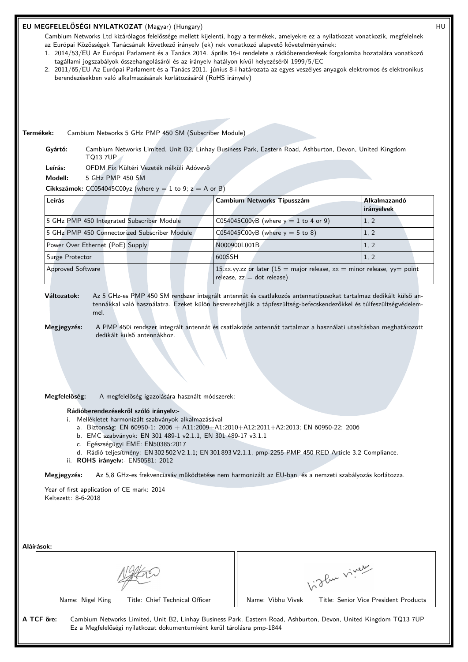## **EU MEGFELELŐSÉGI NYILATKOZAT** (Magyar) (Hungary) HU

Cambium Networks Ltd kizárólagos felelőssége mellett kijelenti, hogy a termékek, amelyekre ez a nyilatkozat vonatkozik, megfelelnek az Európai Közösségek Tanácsának következő irányelv (ek) nek vonatkozó alapvető követelményeinek:

- 1. 2014/53/EU Az Európai Parlament és a Tanács 2014. április 16-i rendelete a rádióberendezések forgalomba hozatalára vonatkozó tagállami jogszabályok összehangolásáról és az irányelv hatályon kívül helyezéséről 1999/5/EC
- 2. 2011/65/EU Az Európai Parlament és a Tanács 2011. június 8-i határozata az egyes veszélyes anyagok elektromos és elektronikus berendezésekben való alkalmazásának korlátozásáról (RoHS irányelv)

**Termékek:** Cambium Networks 5 GHz PMP 450 SM (Subscriber Module)

**Gyártó:** Cambium Networks Limited, Unit B2, Linhay Business Park, Eastern Road, Ashburton, Devon, United Kingdom TQ13 7UP

**Leírás:** OFDM Fix Kültéri Vezeték nélküli Adóvevő

**Modell:** 5 GHz PMP 450 SM

**Cikkszámok:**  $CC054045C00yz$  (where  $y = 1$  to 9;  $z = A$  or B)

| Leírás                                        | Cambium Networks Típusszám                                                                                 | Alkalmazandó<br>irányelvek |
|-----------------------------------------------|------------------------------------------------------------------------------------------------------------|----------------------------|
| 5 GHz PMP 450 Integrated Subscriber Module    | C054045C00yB (where $y = 1$ to 4 or 9)                                                                     | 1, 2                       |
| 5 GHz PMP 450 Connectorized Subscriber Module | C054045C00yB (where $y = 5$ to 8)                                                                          | 1, 2                       |
| Power Over Ethernet (PoE) Supply              | N000900L001B                                                                                               | 1, 2                       |
| Surge Protector                               | 600SSH                                                                                                     | 1, 2                       |
| <b>Approved Software</b>                      | 15.xx.yy.zz or later (15 = major release, $xx$ = minor release, yy = point<br>release, $zz = dot$ release) |                            |

# **Változatok:** Az 5 GHz-es PMP 450 SM rendszer integrált antennát és csatlakozós antennatípusokat tartalmaz dedikált külső antennákkal való használatra. Ezeket külön beszerezhetjük a tápfeszültség-befecskendezőkkel és túlfeszültségvédelemmel.

**Megjegyzés:** A PMP 450i rendszer integrált antennát és csatlakozós antennát tartalmaz a használati utasításban meghatározott dedikált külső antennákhoz.

**Megfelelőség:** A megfelelőség igazolására használt módszerek:

**Rádióberendezésekről szóló irányelv:-**

- i. Mellékletet harmonizált szabványok alkalmazásával
	- a. Biztonság: EN 60950-1: 2006 + A11:2009+A1:2010+A12:2011+A2:2013; EN 60950-22: 2006
	- b. EMC szabványok: EN 301 489-1 v2.1.1, EN 301 489-17 v3.1.1
	- c. Egészségügyi EME: EN50385:2017
	- d. Rádió teljesítmény: EN 302 502 V2.1.1; EN 301 893 V2.1.1, pmp-2255 PMP 450 RED Article 3.2 Compliance.
- ii. **ROHS irányelv:-** EN50581: 2012

**Megjegyzés:** Az 5,8 GHz-es frekvenciasáv működtetése nem harmonizált az EU-ban, és a nemzeti szabályozás korlátozza.

Year of first application of CE mark: 2014 Keltezett: 8-6-2018

| Aláírások:                                                                           |                                                                                                                  |  |
|--------------------------------------------------------------------------------------|------------------------------------------------------------------------------------------------------------------|--|
|                                                                                      | glu viveur                                                                                                       |  |
| Title: Chief Technical Officer<br>Name: Nigel King                                   | Title: Senior Vice President Products<br>Name: Vibhu Vivek                                                       |  |
| A TCF őre:<br>Ez a Megfelelőségi nyilatkozat dokumentumként kerül tárolásra pmp-1844 | Cambium Networks Limited, Unit B2, Linhay Business Park, Eastern Road, Ashburton, Devon, United Kingdom TQ13 7UP |  |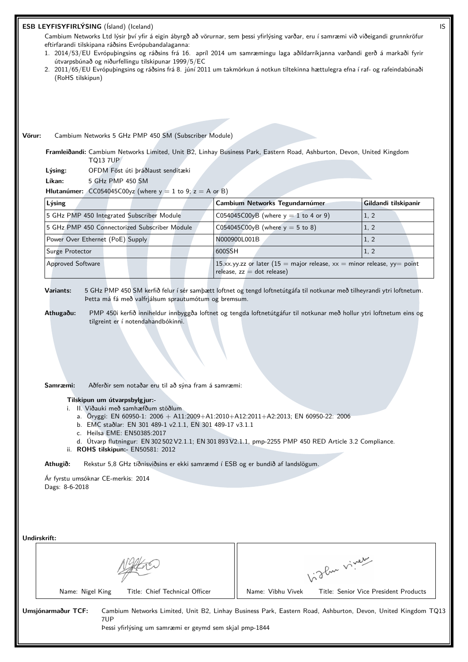## **ESB LEYFISYFIRLÝSING** (Ísland) (Iceland) IS

Cambium Networks Ltd lýsir því yfir á eigin ábyrgð að vörurnar, sem þessi yfirlýsing varðar, eru í samræmi við viðeigandi grunnkröfur eftirfarandi tilskipana ráðsins Evrópubandalaganna:

- 1. 2014/53/EU Evrópuþingsins og ráðsins frá 16. apríl 2014 um samræmingu laga aðildarríkjanna varðandi gerð á markaði fyrir útvarpsbúnað og niðurfellingu tilskipunar 1999/5/EC
- 2. 2011/65/EU Evrópuþingsins og ráðsins frá 8. júní 2011 um takmörkun á notkun tiltekinna hættulegra efna í raf- og rafeindabúnaði (RoHS tilskipun)

#### **Vörur:** Cambium Networks 5 GHz PMP 450 SM (Subscriber Module)

**Framleiðandi:** Cambium Networks Limited, Unit B2, Linhay Business Park, Eastern Road, Ashburton, Devon, United Kingdom TQ13 7UP

**Lýsing:** OFDM Föst úti þráðlaust senditæki

**Líkan:** 5 GHz PMP 450 SM

**Hlutanúmer:**  $CC054045C00yz$  (where  $y = 1$  to  $9$ ;  $z = A$  or B)

| Lýsing                                        | Cambium Networks Tegundarnúmer                                                                             | Gildandi tilskipanir |
|-----------------------------------------------|------------------------------------------------------------------------------------------------------------|----------------------|
| 5 GHz PMP 450 Integrated Subscriber Module    | C054045C00yB (where $y = 1$ to 4 or 9)                                                                     | 1, 2                 |
| 5 GHz PMP 450 Connectorized Subscriber Module | C054045C00yB (where $y = 5$ to 8)                                                                          | 1, 2                 |
| Power Over Ethernet (PoE) Supply              | N000900L001B                                                                                               | (1, 2)               |
| Surge Protector                               | 600SSH                                                                                                     | 1, 2                 |
| <b>Approved Software</b>                      | 15.xx.yy.zz or later (15 = major release, $xx$ = minor release, yy = point<br>$relesse, zz = dot release)$ |                      |

**Variants:** 5 GHz PMP 450 SM kerfið felur í sér samþætt loftnet og tengd loftnetútgáfa til notkunar með tilheyrandi ytri loftnetum. Þetta má fá með valfrjálsum sprautumótum og bremsum.

**Athugaðu:** PMP 450i kerfið inniheldur innbyggða loftnet og tengda loftnetútgáfur til notkunar með hollur ytri loftnetum eins og tilgreint er í notendahandbókinni.

**Samræmi:** Aðferðir sem notaðar eru til að sýna fram á samræmi:

#### **Tilskipun um útvarpsbylgjur:-**

- i. II. Viðauki með samhæfðum stöðlum
	- a. Öryggi: EN 60950-1: 2006 + A11:2009+A1:2010+A12:2011+A2:2013; EN 60950-22: 2006
	- b. EMC staðlar: EN 301 489-1 v2.1.1, EN 301 489-17 v3.1.1
	- c. Heilsa EME: EN50385:2017
- d. Útvarp flutningur: EN 302 502 V2.1.1; EN 301 893 V2.1.1, pmp-2255 PMP 450 RED Article 3.2 Compliance. ii. **ROHS tilskipun:-** EN50581: 2012

**Athugið:** Rekstur 5,8 GHz tíðnisviðsins er ekki samræmd í ESB og er bundið af landslögum.

Ár fyrstu umsóknar CE-merkis: 2014 Dags: 8-6-2018

| Undirskrift:                                                                         |                                                                                                              |  |
|--------------------------------------------------------------------------------------|--------------------------------------------------------------------------------------------------------------|--|
|                                                                                      | 1. The viver                                                                                                 |  |
| Title: Chief Technical Officer<br>Name: Nigel King                                   | Title: Senior Vice President Products<br>Name: Vibhu Vivek                                                   |  |
| Umsjónarmaður TCF:<br>7UP<br>Þessi yfirlýsing um samræmi er geymd sem skjal pmp-1844 | Cambium Networks Limited, Unit B2, Linhay Business Park, Eastern Road, Ashburton, Devon, United Kingdom TQ13 |  |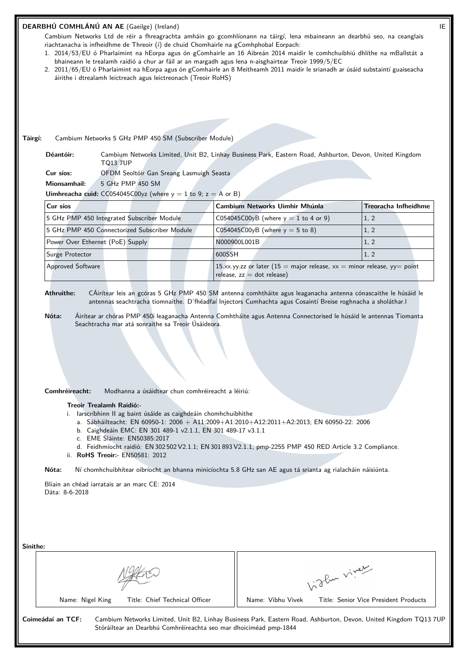#### **DEARBHÚ COMHLÁNÚ AN AE** (Gaeilge) (Ireland) IE

Cambium Networks Ltd de réir a fhreagrachta amháin go gcomhlíonann na táirgí, lena mbaineann an dearbhú seo, na ceanglais riachtanacha is infheidhme de Threoir (í) de chuid Chomhairle na gComhphobal Eorpach:

- 1. 2014/53/EU ó Pharlaimint na hEorpa agus ón gComhairle an 16 Aibreán 2014 maidir le comhchuibhiú dhlíthe na mBallstát a bhaineann le trealamh raidió a chur ar fáil ar an margadh agus lena n-aisghairtear Treoir 1999/5/EC
- 2. 2011/65/EU ó Pharlaimint na hEorpa agus ón gComhairle an 8 Meitheamh 2011 maidir le srianadh ar úsáid substaintí guaiseacha áirithe i dtrealamh leictreach agus leictreonach (Treoir RoHS)

**Táirgí:** Cambium Networks 5 GHz PMP 450 SM (Subscriber Module)

**Déantóir:** Cambium Networks Limited, Unit B2, Linhay Business Park, Eastern Road, Ashburton, Devon, United Kingdom TQ13 7UP

**Cur síos:** OFDM Seoltóir Gan Sreang Lasmuigh Seasta

**Mionsamhail:** 5 GHz PMP 450 SM

**Uimhreacha cuid:** CC054045C00yz (where  $y = 1$  to 9;  $z = A$  or B)

| Cur síos                                      | Cambium Networks Uimhir Mhúnla                                                                             | Treoracha Infheidhme |
|-----------------------------------------------|------------------------------------------------------------------------------------------------------------|----------------------|
| 5 GHz PMP 450 Integrated Subscriber Module    | C054045C00yB (where $y = 1$ to 4 or 9)                                                                     | 1.2                  |
| 5 GHz PMP 450 Connectorized Subscriber Module | C054045C00yB (where $y = 5$ to 8)                                                                          | 1, 2                 |
| Power Over Ethernet (PoE) Supply              | N000900L001B                                                                                               | 1, 2                 |
| Surge Protector                               | 1600SSH                                                                                                    | 1, 2                 |
| <b>Approved Software</b>                      | 15.xx.yy.zz or later (15 = major release, $xx$ = minor release, yy = point<br>release, $zz = dot$ release) |                      |

**Athruithe:** CÁirítear leis an gcóras 5 GHz PMP 450 SM antenna comhtháite agus leaganacha antenna cónascaithe le húsáid le antennas seachtracha tiomnaithe. D'fhéadfaí Injectors Cumhachta agus Cosaintí Breise roghnacha a sholáthar.l

**Nóta:** Áirítear ar chóras PMP 450i leaganacha Antenna Comhtháite agus Antenna Connectorised le húsáid le antennas Tiomanta Seachtracha mar atá sonraithe sa Treoir Úsáideora.

**Comhréireacht:** Modhanna a úsáidtear chun comhréireacht a léiriú:

#### **Treoir Trealamh Raidió:-**

i. Iarscríbhinn II ag baint úsáide as caighdeáin chomhchuibhithe

- a. Sábháilteacht: EN 60950-1: 2006 + A11:2009+A1:2010+A12:2011+A2:2013; EN 60950-22: 2006
- b. Caighdeáin EMC: EN 301 489-1 v2.1.1, EN 301 489-17 v3.1.1
- c. EME Sláinte: EN50385:2017
- d. Feidhmíocht raidió: EN 302 502 V2.1.1; EN 301 893 V2.1.1, pmp-2255 PMP 450 RED Article 3.2 Compliance.
- ii. **RoHS Treoir:-** EN50581: 2012

**Nóta:** Ní chomhchuibhítear oibríocht an bhanna minicíochta 5.8 GHz san AE agus tá srianta ag rialacháin náisiúnta.

Bliain an chéad iarratais ar an marc CE: 2014 Dáta: 8-6-2018

| Sínithe: |                                                                                                                                                                                                            | glue viver        |                                       |
|----------|------------------------------------------------------------------------------------------------------------------------------------------------------------------------------------------------------------|-------------------|---------------------------------------|
|          | Title: Chief Technical Officer<br>Name: Nigel King                                                                                                                                                         | Name: Vibhu Vivek | Title: Senior Vice President Products |
|          | Coimeádaí an TCF:<br>Cambium Networks Limited, Unit B2, Linhay Business Park, Eastern Road, Ashburton, Devon, United Kingdom TQ13 7UF<br>Stóráiltear an Dearbhú Comhréireachta seo mar dhoiciméad pmp-1844 |                   |                                       |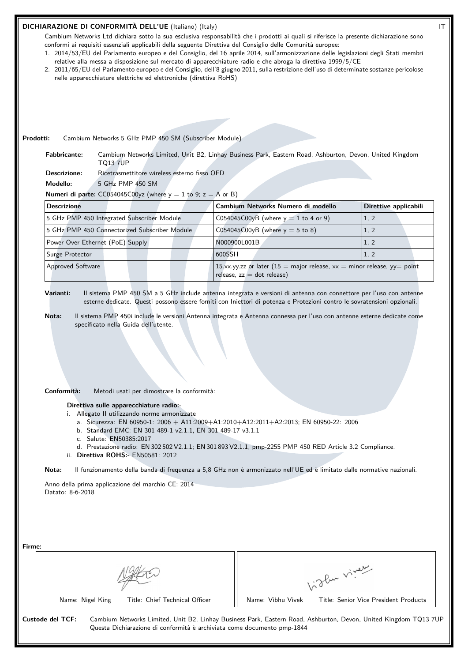## **DICHIARAZIONE DI CONFORMITÀ DELL'UE** (Italiano) (Italy) IT

Cambium Networks Ltd dichiara sotto la sua esclusiva responsabilità che i prodotti ai quali si riferisce la presente dichiarazione sono conformi ai requisiti essenziali applicabili della seguente Direttiva del Consiglio delle Comunità europee:

- 1. 2014/53/EU del Parlamento europeo e del Consiglio, del 16 aprile 2014, sull'armonizzazione delle legislazioni degli Stati membri relative alla messa a disposizione sul mercato di apparecchiature radio e che abroga la direttiva 1999/5/CE
- 2. 2011/65/EU del Parlamento europeo e del Consiglio, dell'8 giugno 2011, sulla restrizione dell'uso di determinate sostanze pericolose nelle apparecchiature elettriche ed elettroniche (direttiva RoHS)

**Prodotti:** Cambium Networks 5 GHz PMP 450 SM (Subscriber Module)

**Fabbricante:** Cambium Networks Limited, Unit B2, Linhay Business Park, Eastern Road, Ashburton, Devon, United Kingdom TQ13 7UP

**Descrizione:** Ricetrasmettitore wireless esterno fisso OFD

**Modello:** 5 GHz PMP 450 SM

**Numeri di parte:**  $CC054045C00yz$  (where  $y = 1$  to 9;  $z = A$  or B)

| <b>Descrizione</b>                            | Cambium Networks Numero di modello                                                                         | Direttive applicabili |
|-----------------------------------------------|------------------------------------------------------------------------------------------------------------|-----------------------|
| 5 GHz PMP 450 Integrated Subscriber Module    | C054045C00yB (where $y = 1$ to 4 or 9)                                                                     | 1, 2                  |
| 5 GHz PMP 450 Connectorized Subscriber Module | $CO54045CO0yB$ (where $y = 5$ to 8)                                                                        | 1, 2                  |
| Power Over Ethernet (PoE) Supply              | N000900L001B                                                                                               | 1, 2                  |
| Surge Protector                               | 1600SSH                                                                                                    | 1, 2                  |
| <b>Approved Software</b>                      | 15.xx.yy.zz or later (15 = major release, $xx$ = minor release, yy = point<br>release, $zz = dot$ release) |                       |

**Varianti:** Il sistema PMP 450 SM a 5 GHz include antenna integrata e versioni di antenna con connettore per l'uso con antenne esterne dedicate. Questi possono essere forniti con Iniettori di potenza e Protezioni contro le sovratensioni opzionali.

**Nota:** Il sistema PMP 450i include le versioni Antenna integrata e Antenna connessa per l'uso con antenne esterne dedicate come specificato nella Guida dell'utente.

**Conformità:** Metodi usati per dimostrare la conformità:

**Direttiva sulle apparecchiature radio:-**

- i. Allegato II utilizzando norme armonizzate
	- a. Sicurezza: EN 60950-1: 2006 + A11:2009+A1:2010+A12:2011+A2:2013; EN 60950-22: 2006
	- b. Standard EMC: EN 301 489-1 v2.1.1, EN 301 489-17 v3.1.1
	- c. Salute: EN50385:2017
	- d. Prestazione radio: EN 302 502 V2.1.1; EN 301 893 V2.1.1, pmp-2255 PMP 450 RED Article 3.2 Compliance.
- ii. **Direttiva ROHS:-** EN50581: 2012

**Nota:** Il funzionamento della banda di frequenza a 5,8 GHz non è armonizzato nell'UE ed è limitato dalle normative nazionali.

Anno della prima applicazione del marchio CE: 2014 Datato: 8-6-2018

| oflux viver                                                |  |
|------------------------------------------------------------|--|
| Title: Senior Vice President Products<br>Name: Vibhu Vivek |  |
|                                                            |  |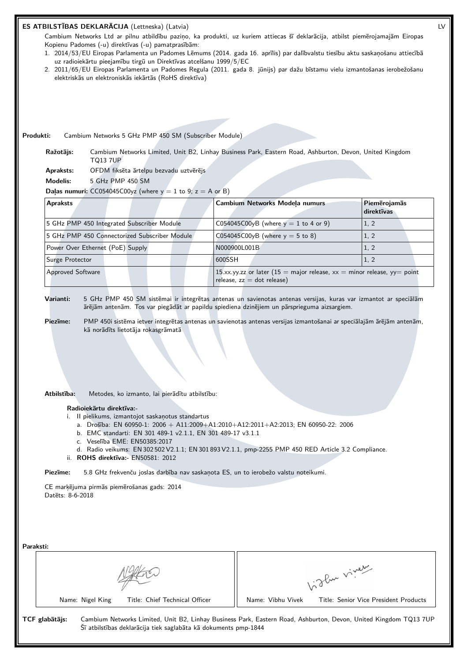## **ES ATBILSTĪBAS DEKLARĀCIJA** (Lettneska) (Latvia) LV

Cambium Networks Ltd ar pilnu atbildību paziņo, ka produkti, uz kuriem attiecas šī deklarācija, atbilst piemērojamajām Eiropas Kopienu Padomes (-u) direktīvas (-u) pamatprasībām:

- 1. 2014/53/EU Eiropas Parlamenta un Padomes Lēmums (2014. gada 16. aprīlis) par dalībvalstu tiesību aktu saskaņošanu attiecībā uz radioiekārtu pieejamību tirgū un Direktīvas atcelšanu 1999/5/EC
- 2. 2011/65/EU Eiropas Parlamenta un Padomes Regula (2011. gada 8. jūnijs) par dažu bīstamu vielu izmantošanas ierobežošanu elektriskās un elektroniskās iekārtās (RoHS direktīva)

**Produkti:** Cambium Networks 5 GHz PMP 450 SM (Subscriber Module)

**Ražotājs:** Cambium Networks Limited, Unit B2, Linhay Business Park, Eastern Road, Ashburton, Devon, United Kingdom TQ13 7UP

**Apraksts:** OFDM fiksēta ārtelpu bezvadu uztvērējs

**Modelis:** 5 GHz PMP 450 SM

**Daļas numuri:**  $CC054045C00yz$  (where  $y = 1$  to  $9$ ;  $z = A$  or B)

| <b>Apraksts</b>                               | <b>Cambium Networks Modela numurs</b>                                                                      | Piemērojamās<br>direktīvas |
|-----------------------------------------------|------------------------------------------------------------------------------------------------------------|----------------------------|
| 5 GHz PMP 450 Integrated Subscriber Module    | C054045C00yB (where $y = 1$ to 4 or 9)                                                                     | 1, 2                       |
| 5 GHz PMP 450 Connectorized Subscriber Module | C054045C00yB (where $y = 5$ to 8)                                                                          | 1, 2                       |
| Power Over Ethernet (PoE) Supply              | N000900L001B                                                                                               | 1, 2                       |
| Surge Protector                               | 1600SSH                                                                                                    | 1, 2                       |
| <b>Approved Software</b>                      | 15.xx.yy.zz or later (15 = major release, $xx$ = minor release, yy = point<br>release, $zz = dot$ release) |                            |

**Varianti:** 5 GHz PMP 450 SM sistēmai ir integrētas antenas un savienotas antenas versijas, kuras var izmantot ar speciālām ārējām antenām. Tos var piegādāt ar papildu spiediena dzinējiem un pārsprieguma aizsargiem.

**Piezīme:** PMP 450i sistēma ietver integrētas antenas un savienotas antenas versijas izmantošanai ar speciālajām ārējām antenām, kā norādīts lietotāja rokasgrāmatā

**Atbilstība:** Metodes, ko izmanto, lai pierādītu atbilstību:

#### **Radioiekārtu direktīva:-**

- i. II pielikums, izmantojot saskaņotus standartus
	- a. Drošība: EN 60950-1: 2006 + A11:2009+A1:2010+A12:2011+A2:2013; EN 60950-22: 2006
	- b. EMC standarti: EN 301 489-1 v2.1.1, EN 301 489-17 v3.1.1
	- c. Veselība EME: EN50385:2017
	- d. Radio veikums: EN 302 502 V2.1.1; EN 301 893 V2.1.1, pmp-2255 PMP 450 RED Article 3.2 Compliance.
- ii. **ROHS direktīva:-** EN50581: 2012

**Piezīme:** 5.8 GHz frekvenču joslas darbība nav saskaņota ES, un to ierobežo valstu noteikumi.

CE marķējuma pirmās piemērošanas gads: 2014 Datēts: 8-6-2018

| Paraksti: |                |                  |                                                                 |                   |                                                                                                                  |
|-----------|----------------|------------------|-----------------------------------------------------------------|-------------------|------------------------------------------------------------------------------------------------------------------|
|           |                |                  | 1. The viver                                                    |                   |                                                                                                                  |
|           |                | Name: Nigel King | Title: Chief Technical Officer                                  | Name: Vibhu Vivek | Title: Senior Vice President Products                                                                            |
|           | TCF glabātājs: |                  | Šī atbilstības deklarācija tiek saglabāta kā dokuments pmp-1844 |                   | Cambium Networks Limited, Unit B2, Linhay Business Park, Eastern Road, Ashburton, Devon, United Kingdom TQ13 7UP |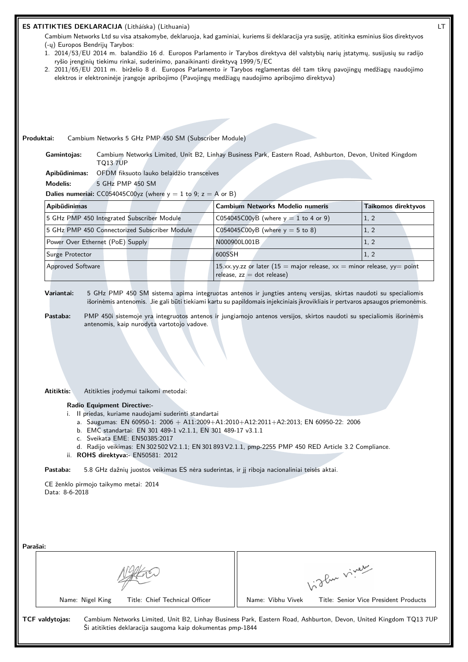| ryšio įrenginių tiekimu rinkai, suderinimo, panaikinanti direktyvą 1999/5/EC<br>2. 2011/65/EU 2011 m. birželio 8 d. Europos Parlamento ir Tarybos reglamentas dėl tam tikrų pavojingų medžiagų naudojimo<br>elektros ir elektroninėje įrangoje apribojimo (Pavojingų medžiagų naudojimo apribojimo direktyva) | 1. 2014/53/EU 2014 m. balandžio 16 d. Europos Parlamento ir Tarybos direktyva dėl valstybių narių įstatymų, susijusių su radijo                                                                                                                                                                                                                                            |                     |
|---------------------------------------------------------------------------------------------------------------------------------------------------------------------------------------------------------------------------------------------------------------------------------------------------------------|----------------------------------------------------------------------------------------------------------------------------------------------------------------------------------------------------------------------------------------------------------------------------------------------------------------------------------------------------------------------------|---------------------|
|                                                                                                                                                                                                                                                                                                               |                                                                                                                                                                                                                                                                                                                                                                            |                     |
|                                                                                                                                                                                                                                                                                                               |                                                                                                                                                                                                                                                                                                                                                                            |                     |
|                                                                                                                                                                                                                                                                                                               |                                                                                                                                                                                                                                                                                                                                                                            |                     |
| Produktai:<br>Cambium Networks 5 GHz PMP 450 SM (Subscriber Module)                                                                                                                                                                                                                                           |                                                                                                                                                                                                                                                                                                                                                                            |                     |
| Gamintojas:<br><b>TQ13 7UP</b>                                                                                                                                                                                                                                                                                | Cambium Networks Limited, Unit B2, Linhay Business Park, Eastern Road, Ashburton, Devon, United Kingdom                                                                                                                                                                                                                                                                    |                     |
| OFDM fiksuoto lauko belaidžio transceives<br>Apibūdinimas:                                                                                                                                                                                                                                                    |                                                                                                                                                                                                                                                                                                                                                                            |                     |
| <b>Modelis:</b><br>5 GHz PMP 450 SM                                                                                                                                                                                                                                                                           |                                                                                                                                                                                                                                                                                                                                                                            |                     |
| <b>Dalies numeriai:</b> CC054045C00yz (where $y = 1$ to 9; $z = A$ or B)                                                                                                                                                                                                                                      |                                                                                                                                                                                                                                                                                                                                                                            |                     |
| Apibūdinimas                                                                                                                                                                                                                                                                                                  | <b>Cambium Networks Modelio numeris</b>                                                                                                                                                                                                                                                                                                                                    | Taikomos direktyvos |
| 5 GHz PMP 450 Integrated Subscriber Module                                                                                                                                                                                                                                                                    | C054045C00yB (where $y = 1$ to 4 or 9)                                                                                                                                                                                                                                                                                                                                     | 1, 2                |
| 5 GHz PMP 450 Connectorized Subscriber Module                                                                                                                                                                                                                                                                 | C054045C00yB (where $y = 5$ to 8)                                                                                                                                                                                                                                                                                                                                          | 1, 2                |
| Power Over Ethernet (PoE) Supply                                                                                                                                                                                                                                                                              | N000900L001B                                                                                                                                                                                                                                                                                                                                                               | 1, 2                |
| Surge Protector                                                                                                                                                                                                                                                                                               | 600SSH                                                                                                                                                                                                                                                                                                                                                                     | 1, 2                |
| <b>Approved Software</b>                                                                                                                                                                                                                                                                                      | 15.xx.yy.zz or later (15 = major release, $xx$ = minor release, yy = point<br>release, $zz = dot$ release)                                                                                                                                                                                                                                                                 |                     |
|                                                                                                                                                                                                                                                                                                               |                                                                                                                                                                                                                                                                                                                                                                            |                     |
| Variantai:<br>Pastaba:<br>antenomis, kaip nurodyta vartotojo vadove.                                                                                                                                                                                                                                          | 5 GHz PMP 450 SM sistema apima integruotas antenos ir jungties antenų versijas, skirtas naudoti su specialiomis<br>išorinėmis antenomis. Jie gali būti tiekiami kartu su papildomais injekciniais įkrovikliais ir pertvaros apsaugos priemonėmis.<br>PMP 450i sistemoje yra integruotos antenos ir jungiamojo antenos versijos, skirtos naudoti su specialiomis išorinėmis |                     |
|                                                                                                                                                                                                                                                                                                               |                                                                                                                                                                                                                                                                                                                                                                            |                     |
| Atitiktis:<br>Atitikties įrodymui taikomi metodai:                                                                                                                                                                                                                                                            |                                                                                                                                                                                                                                                                                                                                                                            |                     |
| Radio Equipment Directive:-<br>i. Il priedas, kuriame naudojami suderinti standartai<br>b. EMC standartai: EN 301 489-1 v2.1.1, EN 301 489-17 v3.1.1<br>c. Sveikata EME: EN50385:2017<br>ii. ROHS direktyva:- EN50581: 2012                                                                                   | a. Saugumas: EN 60950-1: 2006 + A11:2009+A1:2010+A12:2011+A2:2013; EN 60950-22: 2006<br>d. Radijo veikimas: EN 302 502 V2.1.1; EN 301 893 V2.1.1, pmp-2255 PMP 450 RED Article 3.2 Compliance.                                                                                                                                                                             |                     |
| Pastaba:                                                                                                                                                                                                                                                                                                      | 5.8 GHz dažnių juostos veikimas ES nėra suderintas, ir jį riboja nacionaliniai teisės aktai.                                                                                                                                                                                                                                                                               |                     |
| CE ženklo pirmojo taikymo metai: 2014<br>Data: 8-6-2018                                                                                                                                                                                                                                                       |                                                                                                                                                                                                                                                                                                                                                                            |                     |
|                                                                                                                                                                                                                                                                                                               |                                                                                                                                                                                                                                                                                                                                                                            |                     |
|                                                                                                                                                                                                                                                                                                               |                                                                                                                                                                                                                                                                                                                                                                            |                     |
|                                                                                                                                                                                                                                                                                                               |                                                                                                                                                                                                                                                                                                                                                                            |                     |
| Parašai:                                                                                                                                                                                                                                                                                                      |                                                                                                                                                                                                                                                                                                                                                                            |                     |
|                                                                                                                                                                                                                                                                                                               | higher viner                                                                                                                                                                                                                                                                                                                                                               |                     |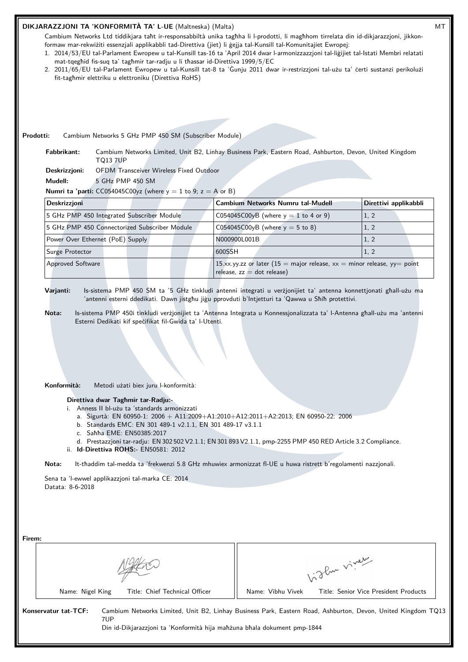# **DIKJARAZZJONI TA 'KONFORMITÀ TA' L-UE** (Maltneska) (Malta) MT

Cambium Networks Ltd tiddikjara taħt ir-responsabbiltà unika tagħha li l-prodotti, li magħhom tirrelata din id-dikjarazzjoni, jikkonformaw mar-rekwiżiti essenzjali applikabbli tad-Direttiva (jiet) li ġejja tal-Kunsill tal-Komunitajiet Ewropej:

- 1. 2014/53/EU tal-Parlament Ewropew u tal-Kunsill tas-16 ta 'April 2014 dwar l-armonizzazzjoni tal-liġijiet tal-Istati Membri relatati mat-tqegħid fis-suq ta' tagħmir tar-radju u li tħassar id-Direttiva 1999/5/EC
- 2. 2011/65/EU tal-Parlament Ewropew u tal-Kunsill tat-8 ta 'Ġunju 2011 dwar ir-restrizzjoni tal-użu ta' ċerti sustanzi perikolużi fit-tagħmir elettriku u elettroniku (Direttiva RoHS)

### **Prodotti:** Cambium Networks 5 GHz PMP 450 SM (Subscriber Module)

**Fabbrikant:** Cambium Networks Limited, Unit B2, Linhay Business Park, Eastern Road, Ashburton, Devon, United Kingdom TQ13 7UP

**Deskrizzjoni:** OFDM Transceiver Wireless Fixed Outdoor

**Mudell:** 5 GHz PMP 450 SM

**Numri ta 'parti:** CC054045C00yz (where  $y = 1$  to 9;  $z = A$  or B)

| <b>Deskrizzjoni</b>                           | <b>Cambium Networks Numru tal-Mudell</b>                                                                   | Direttivi applikabbli |  |
|-----------------------------------------------|------------------------------------------------------------------------------------------------------------|-----------------------|--|
| 5 GHz PMP 450 Integrated Subscriber Module    | C054045C00yB (where $y = 1$ to 4 or 9)                                                                     | 1, 2                  |  |
| 5 GHz PMP 450 Connectorized Subscriber Module | C054045C00yB (where $y = 5$ to 8)                                                                          | 1, 2                  |  |
| Power Over Ethernet (PoE) Supply              | N000900L001B                                                                                               | 1, 2                  |  |
| Surge Protector                               | 600SSH                                                                                                     | 1, 2                  |  |
| <b>Approved Software</b>                      | 15.xx.yy.zz or later (15 = major release, $xx$ = minor release, yy = point<br>$relesse, zz = dot release)$ |                       |  |

**Varjanti:** Is-sistema PMP 450 SM ta '5 GHz tinkludi antenni integrati u verżjonijiet ta' antenna konnettjonati għall-użu ma 'antenni esterni ddedikati. Dawn jistgħu jiġu pprovduti b'Intjetturi ta 'Qawwa u Sħiħ protettivi.

- **Nota:** Is-sistema PMP 450i tinkludi verżjonijiet ta 'Antenna Integrata u Konnessjonalizzata ta' l-Antenna għall-użu ma 'antenni Esterni Dedikati kif speċifikat fil-Gwida ta' l-Utenti.
- **Konformità:** Metodi użati biex juru l-konformità:

## **Direttiva dwar Tagħmir tar-Radju:-**

- i. Anness II bl-użu ta 'standards armonizzati
	- a. Sigurtà: EN 60950-1: 2006 + A11:2009+A1:2010+A12:2011+A2:2013; EN 60950-22: 2006
	- b. Standards EMC: EN 301 489-1 v2.1.1, EN 301 489-17 v3.1.1
	- c. Saħħa EME: EN50385:2017
- d. Prestazzjoni tar-radju: EN 302 502 V2.1.1; EN 301 893 V2.1.1, pmp-2255 PMP 450 RED Article 3.2 Compliance. ii. **Id-Direttiva ROHS:-** EN50581: 2012

**Nota:** It-tħaddim tal-medda ta 'frekwenzi 5.8 GHz mhuwiex armonizzat fl-UE u huwa ristrett b'regolamenti nazzjonali.

Sena ta 'l-ewwel applikazzjoni tal-marka CE: 2014 Datata: 8-6-2018

| Firem:                         |                                                                                                              |
|--------------------------------|--------------------------------------------------------------------------------------------------------------|
|                                | in the viver                                                                                                 |
| Title: Chief Technical Officer | Name: Vibhu Vivek                                                                                            |
| Name: Nigel King               | Title: Senior Vice President Products                                                                        |
| Konservatur tat-TCF:           | Cambium Networks Limited, Unit B2, Linhay Business Park, Eastern Road, Ashburton, Devon, United Kingdom TQ13 |
| 7UP.                           | Din id-Dikjarazzjoni ta 'Konformità hija mahzuna bhala dokument pmp-1844                                     |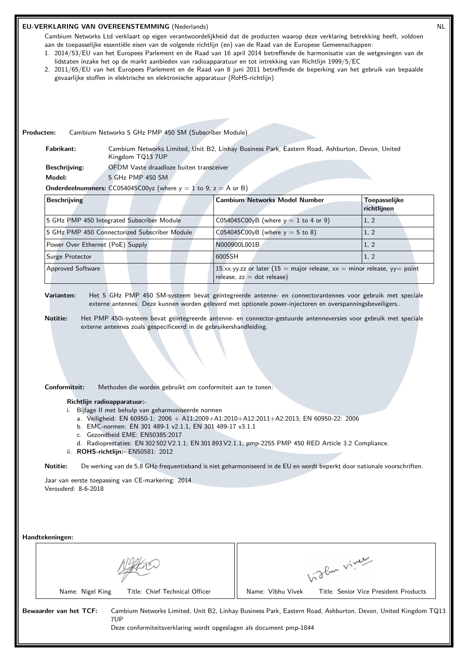#### **EU-VERKLARING VAN OVEREENSTEMMING** (Nederlands) NL

Cambium Networks Ltd verklaart op eigen verantwoordelijkheid dat de producten waarop deze verklaring betrekking heeft, voldoen aan de toepasselijke essentiële eisen van de volgende richtlijn (en) van de Raad van de Europese Gemeenschappen:

- 1. 2014/53/EU van het Europees Parlement en de Raad van 16 april 2014 betreffende de harmonisatie van de wetgevingen van de lidstaten inzake het op de markt aanbieden van radioapparatuur en tot intrekking van Richtlijn 1999/5/EC
- 2. 2011/65/EU van het Europees Parlement en de Raad van 8 juni 2011 betreffende de beperking van het gebruik van bepaalde gevaarlijke stoffen in elektrische en elektronische apparatuur (RoHS-richtlijn)

## **Producten:** Cambium Networks 5 GHz PMP 450 SM (Subscriber Module)

**Fabrikant:** Cambium Networks Limited, Unit B2, Linhay Business Park, Eastern Road, Ashburton, Devon, United Kingdom TQ13 7UP

**Beschrijving:** OFDM Vaste draadloze buiten transceiver

**Model:** 5 GHz PMP 450 SM

**Onderdeelnummers:**  $CC054045C00yz$  (where  $y = 1$  to 9;  $z = A$  or B)

| <b>Beschrijving</b>                           | <b>Cambium Networks Model Number</b>                                                                          | Toepasselijke<br>richtlijnen |
|-----------------------------------------------|---------------------------------------------------------------------------------------------------------------|------------------------------|
| 5 GHz PMP 450 Integrated Subscriber Module    | $CO54045CO0yB$ (where $y = 1$ to 4 or 9)                                                                      | 1, 2                         |
| 5 GHz PMP 450 Connectorized Subscriber Module | C054045C00yB (where $y = 5$ to 8)                                                                             | 1.2                          |
| Power Over Ethernet (PoE) Supply              | N000900L001B                                                                                                  | 1, 2                         |
| Surge Protector                               | 1600SSH                                                                                                       | 1, 2                         |
| <b>Approved Software</b>                      | 15.xx.yy.zz or later (15 = major release, $xx$ = minor release, yy = point<br>$relcase$ , $zz = dot$ release) |                              |

**Varianten:** Het 5 GHz PMP 450 SM-systeem bevat geïntegreerde antenne- en connectorantennes voor gebruik met speciale externe antennes. Deze kunnen worden geleverd met optionele power-injectoren en overspanningsbeveiligers..

**Notitie:** Het PMP 450i-systeem bevat geïntegreerde antenne- en connector-gestuurde antenneversies voor gebruik met speciale externe antennes zoals gespecificeerd in de gebruikershandleiding.

**Conformiteit:** Methoden die worden gebruikt om conformiteit aan te tonen:

#### **Richtlijn radioapparatuur:-**

- i. Bijlage II met behulp van geharmoniseerde normen
	- a. Veiligheid: EN 60950-1: 2006 + A11:2009+A1:2010+A12:2011+A2:2013; EN 60950-22: 2006
	- b. EMC-normen: EN 301 489-1 v2.1.1, EN 301 489-17 v3.1.1
	- c. Gezondheid EME: EN50385:2017
- d. Radioprestaties: EN 302 502 V2.1.1; EN 301 893 V2.1.1, pmp-2255 PMP 450 RED Article 3.2 Compliance. ii. **ROHS-richtlijn:-** EN50581: 2012

**Notitie:** De werking van de 5,8 GHz-frequentieband is niet geharmoniseerd in de EU en wordt beperkt door nationale voorschriften.

Jaar van eerste toepassing van CE-markering: 2014 Verouderd: 8-6-2018

**Handtekeningen:**

|                                                                                                      | glas viver                                                                                                   |
|------------------------------------------------------------------------------------------------------|--------------------------------------------------------------------------------------------------------------|
| Title: Chief Technical Officer<br>Name: Nigel King                                                   | Title: Senior Vice President Products<br>Name: Vibhu Vivek                                                   |
| Bewaarder van het TCF:<br>7UP<br>Deze conformiteitsverklaring wordt opgeslagen als document pmp-1844 | Cambium Networks Limited, Unit B2, Linhay Business Park, Eastern Road, Ashburton, Devon, United Kingdom TQ13 |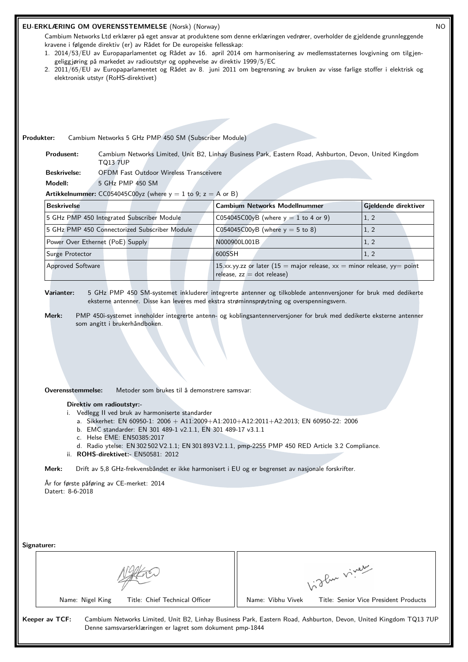#### **EU-ERKLÆRING OM OVERENSSTEMMELSE** (Norsk) (Norway) NO

Cambium Networks Ltd erklærer på eget ansvar at produktene som denne erklæringen vedrører, overholder de gjeldende grunnleggende kravene i følgende direktiv (er) av Rådet for De europeiske fellesskap:

- 1. 2014/53/EU av Europaparlamentet og Rådet av 16. april 2014 om harmonisering av medlemsstaternes lovgivning om tilgjengeliggjøring på markedet av radioutstyr og opphevelse av direktiv 1999/5/EC
- 2. 2011/65/EU av Europaparlamentet og Rådet av 8. juni 2011 om begrensning av bruken av visse farlige stoffer i elektrisk og elektronisk utstyr (RoHS-direktivet)

**Produkter:** Cambium Networks 5 GHz PMP 450 SM (Subscriber Module)

**Produsent:** Cambium Networks Limited, Unit B2, Linhay Business Park, Eastern Road, Ashburton, Devon, United Kingdom TQ13 7UP

**Beskrivelse:** OFDM Fast Outdoor Wireless Transceivere

**Modell:** 5 GHz PMP 450 SM

**Artikkelnummer:** CC054045C00yz (where  $y = 1$  to 9;  $z = A$  or B)

| <b>Beskrivelse</b>                            | <b>Cambium Networks Modellnummer</b><br>Gjeldende direktiver                                               |      |  |
|-----------------------------------------------|------------------------------------------------------------------------------------------------------------|------|--|
| 5 GHz PMP 450 Integrated Subscriber Module    | $CO54045CO0yB$ (where $y = 1$ to 4 or 9)                                                                   | 1, 2 |  |
| 5 GHz PMP 450 Connectorized Subscriber Module | $\sqrt{0.054045000yB}$ (where $y = 5$ to 8)                                                                | 1, 2 |  |
| Power Over Ethernet (PoE) Supply              | N000900L001B<br>1, 2                                                                                       |      |  |
| Surge Protector                               | 600SSH                                                                                                     | 1, 2 |  |
| <b>Approved Software</b>                      | 15.xx.yy.zz or later (15 = major release, $xx$ = minor release, yy = point<br>release, $zz = dot$ release) |      |  |

**Varianter:** 5 GHz PMP 450 SM-systemet inkluderer integrerte antenner og tilkoblede antennversjoner for bruk med dedikerte eksterne antenner. Disse kan leveres med ekstra strøminnsprøytning og overspenningsvern.

**Merk:** PMP 450i-systemet inneholder integrerte antenn- og koblingsantennerversjoner for bruk med dedikerte eksterne antenner som angitt i brukerhåndboken.

**Overensstemmelse:** Metoder som brukes til å demonstrere samsvar:

#### **Direktiv om radioutstyr:-**

i. Vedlegg II ved bruk av harmoniserte standarder

- a. Sikkerhet: EN 60950-1: 2006 + A11:2009+A1:2010+A12:2011+A2:2013; EN 60950-22: 2006
- b. EMC standarder: EN 301 489-1 v2.1.1, EN 301 489-17 v3.1.1
- c. Helse EME: EN50385:2017
- d. Radio ytelse: EN 302 502 V2.1.1; EN 301 893 V2.1.1, pmp-2255 PMP 450 RED Article 3.2 Compliance.
- ii. **ROHS-direktivet:-** EN50581: 2012

**Merk:** Drift av 5,8 GHz-frekvensbåndet er ikke harmonisert i EU og er begrenset av nasjonale forskrifter.

År for første påføring av CE-merket: 2014 Datert: 8-6-2018

Vidley viney

Name: Nigel King Title: Chief Technical Officer | Name: Vibhu Vivek Title: Senior Vice President Products

**Signaturer:**

**Keeper av TCF:** Cambium Networks Limited, Unit B2, Linhay Business Park, Eastern Road, Ashburton, Devon, United Kingdom TQ13 7UP Denne samsvarserklæringen er lagret som dokument pmp-1844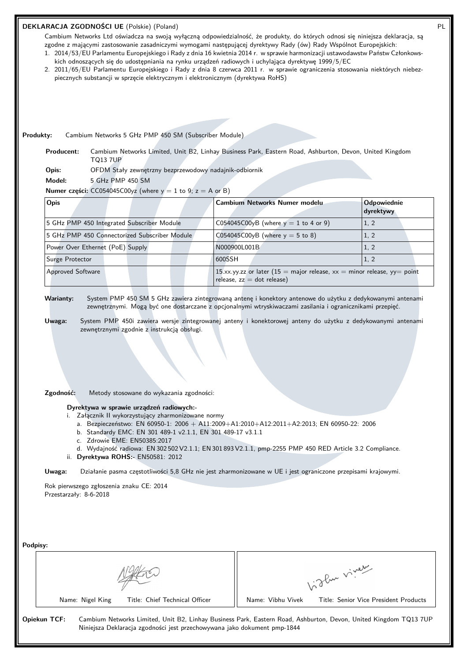| kich odnoszących się do udostępniania na rynku urządzeń radiowych i uchylająca dyrektywę 1999/5/EC<br>2. 2011/65/EU Parlamentu Europejskiego i Rady z dnia 8 czerwca 2011 r. w sprawie ograniczenia stosowania niektórych niebez-<br>piecznych substancji w sprzęcie elektrycznym i elektronicznym (dyrektywa RoHS) | zgodne z mającymi zastosowanie zasadniczymi wymogami następującej dyrektywy Rady (ów) Rady Wspólnot Europejskich:<br>1. 2014/53/EU Parlamentu Europejskiego i Rady z dnia 16 kwietnia 2014 r. w sprawie harmonizacji ustawodawstw Państw Członkows-                                                                                    |                          |
|---------------------------------------------------------------------------------------------------------------------------------------------------------------------------------------------------------------------------------------------------------------------------------------------------------------------|----------------------------------------------------------------------------------------------------------------------------------------------------------------------------------------------------------------------------------------------------------------------------------------------------------------------------------------|--------------------------|
|                                                                                                                                                                                                                                                                                                                     |                                                                                                                                                                                                                                                                                                                                        |                          |
|                                                                                                                                                                                                                                                                                                                     |                                                                                                                                                                                                                                                                                                                                        |                          |
| Cambium Networks 5 GHz PMP 450 SM (Subscriber Module)<br>Produkty:                                                                                                                                                                                                                                                  |                                                                                                                                                                                                                                                                                                                                        |                          |
| Producent:                                                                                                                                                                                                                                                                                                          | Cambium Networks Limited, Unit B2, Linhay Business Park, Eastern Road, Ashburton, Devon, United Kingdom                                                                                                                                                                                                                                |                          |
| <b>TQ13 7UP</b><br>OFDM Stały zewnętrzny bezprzewodowy nadajnik-odbiornik<br>Opis:                                                                                                                                                                                                                                  |                                                                                                                                                                                                                                                                                                                                        |                          |
| Model:<br>5 GHz PMP 450 SM                                                                                                                                                                                                                                                                                          |                                                                                                                                                                                                                                                                                                                                        |                          |
| Numer części: CC054045C00yz (where $y = 1$ to 9; $z = A$ or B)                                                                                                                                                                                                                                                      |                                                                                                                                                                                                                                                                                                                                        |                          |
| Opis                                                                                                                                                                                                                                                                                                                | Cambium Networks Numer modelu                                                                                                                                                                                                                                                                                                          | Odpowiednie<br>dyrektywy |
| 5 GHz PMP 450 Integrated Subscriber Module                                                                                                                                                                                                                                                                          | C054045C00yB (where $y = 1$ to 4 or 9)                                                                                                                                                                                                                                                                                                 | 1, 2                     |
| 5 GHz PMP 450 Connectorized Subscriber Module                                                                                                                                                                                                                                                                       | C054045C00yB (where $y = 5$ to 8)                                                                                                                                                                                                                                                                                                      | 1, 2                     |
| Power Over Ethernet (PoE) Supply                                                                                                                                                                                                                                                                                    | N000900L001B                                                                                                                                                                                                                                                                                                                           | 1, 2                     |
| Surge Protector                                                                                                                                                                                                                                                                                                     | 600SSH                                                                                                                                                                                                                                                                                                                                 | 1, 2                     |
| Approved Software                                                                                                                                                                                                                                                                                                   | 15.xx.yy.zz or later (15 = major release, $xx$ = minor release, yy = point<br>release, $zz = dot$ release)                                                                                                                                                                                                                             |                          |
| zewnętrznymi zgodnie z instrukcją obsługi.                                                                                                                                                                                                                                                                          | System PMP 450 SM 5 GHz zawiera zintegrowaną antenę i konektory antenowe do użytku z dedykowanymi antenami<br>zewnętrznymi. Mogą być one dostarczane z opcjonalnymi wtryskiwaczami zasilania i ogranicznikami przepięć.<br>System PMP 450i zawiera wersje zintegrowanej anteny i konektorowej anteny do użytku z dedykowanymi antenami |                          |
|                                                                                                                                                                                                                                                                                                                     |                                                                                                                                                                                                                                                                                                                                        |                          |
| <b>Warianty:</b><br>Uwaga:                                                                                                                                                                                                                                                                                          |                                                                                                                                                                                                                                                                                                                                        |                          |
| Zgodność:<br>Metody stosowane do wykazania zgodności:<br>Dyrektywa w sprawie urządzeń radiowych:-<br>i. Załącznik II wykorzystujący zharmonizowane normy<br>b. Standardy EMC: EN 301 489-1 v2.1.1, EN 301 489-17 v3.1.1<br>c. Zdrowie EME: EN50385:2017                                                             | a. Bezpieczeństwo: EN 60950-1: 2006 + A11:2009+A1:2010+A12:2011+A2:2013; EN 60950-22: 2006<br>d. Wydajność radiowa: EN 302 502 V2.1.1; EN 301 893 V2.1.1, pmp-2255 PMP 450 RED Article 3.2 Compliance.                                                                                                                                 |                          |
| ii. Dyrektywa ROHS:- EN50581: 2012                                                                                                                                                                                                                                                                                  | Działanie pasma częstotliwości 5,8 GHz nie jest zharmonizowane w UE i jest ograniczone przepisami krajowymi.                                                                                                                                                                                                                           |                          |
|                                                                                                                                                                                                                                                                                                                     |                                                                                                                                                                                                                                                                                                                                        |                          |
|                                                                                                                                                                                                                                                                                                                     |                                                                                                                                                                                                                                                                                                                                        |                          |
|                                                                                                                                                                                                                                                                                                                     |                                                                                                                                                                                                                                                                                                                                        |                          |
|                                                                                                                                                                                                                                                                                                                     |                                                                                                                                                                                                                                                                                                                                        |                          |
| Uwaga:<br>Rok pierwszego zgłoszenia znaku CE: 2014<br>Przestarzały: 8-6-2018<br>Podpisy:                                                                                                                                                                                                                            | light vivey                                                                                                                                                                                                                                                                                                                            |                          |

**Opiekun TCF:** Cambium Networks Limited, Unit B2, Linhay Business Park, Eastern Road, Ashburton, Devon, United Kingdom TQ13 7UP Niniejsza Deklaracja zgodności jest przechowywana jako dokument pmp-1844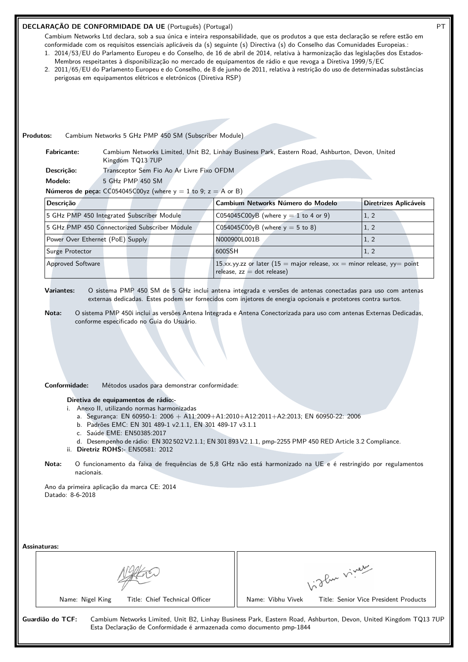#### **DECLARAÇÃO DE CONFORMIDADE DA UE** (Português) (Portugal) PT

Cambium Networks Ltd declara, sob a sua única e inteira responsabilidade, que os produtos a que esta declaração se refere estão em conformidade com os requisitos essenciais aplicáveis da (s) seguinte (s) Directiva (s) do Conselho das Comunidades Europeias.: 1. 2014/53/EU do Parlamento Europeu e do Conselho, de 16 de abril de 2014, relativa à harmonização das legislações dos Estados-

- Membros respeitantes à disponibilização no mercado de equipamentos de rádio e que revoga a Diretiva 1999/5/EC
- 2. 2011/65/EU do Parlamento Europeu e do Conselho, de 8 de junho de 2011, relativa à restrição do uso de determinadas substâncias perigosas em equipamentos elétricos e eletrónicos (Diretiva RSP)

**Produtos:** Cambium Networks 5 GHz PMP 450 SM (Subscriber Module)

**Fabricante:** Cambium Networks Limited, Unit B2, Linhay Business Park, Eastern Road, Ashburton, Devon, United Kingdom TQ13 7UP **Descrição:** Transceptor Sem Fio Ao Ar Livre Fixo OFDM

**Modelo:** 5 GHz PMP 450 SM

**Números de peça:**  $CC054045C00yz$  (where  $y = 1$  to 9;  $z = A$  or B)

| <b>Descricão</b>                              | Cambium Networks Número do Modelo                                                                          | Diretrizes Aplicáveis |  |
|-----------------------------------------------|------------------------------------------------------------------------------------------------------------|-----------------------|--|
| 5 GHz PMP 450 Integrated Subscriber Module    | $CO54045CO0yB$ (where $y = 1$ to 4 or 9)                                                                   | 1, 2                  |  |
| 5 GHz PMP 450 Connectorized Subscriber Module | C054045C00yB (where $y = 5$ to 8)                                                                          | 1, 2                  |  |
| Power Over Ethernet (PoE) Supply              | N000900L001B                                                                                               | (1, 2)                |  |
| Surge Protector                               | 600SSH                                                                                                     | 1, 2                  |  |
| <b>Approved Software</b>                      | 15.xx.yy.zz or later (15 = major release, $xx$ = minor release, yy = point<br>$relesse, zz = dot release)$ |                       |  |

**Variantes:** O sistema PMP 450 SM de 5 GHz inclui antena integrada e versões de antenas conectadas para uso com antenas externas dedicadas. Estes podem ser fornecidos com injetores de energia opcionais e protetores contra surtos.

**Nota:** O sistema PMP 450i inclui as versões Antena Integrada e Antena Conectorizada para uso com antenas Externas Dedicadas, conforme especificado no Guia do Usuário.

**Conformidade:** Métodos usados para demonstrar conformidade:

**Diretiva de equipamentos de rádio:-**

- i. Anexo II, utilizando normas harmonizadas
	- a. Segurança: EN 60950-1: 2006 + A11:2009+A1:2010+A12:2011+A2:2013; EN 60950-22: 2006
	- b. Padrões EMC: EN 301 489-1 v2.1.1, EN 301 489-17 v3.1.1
	- c. Saúde EME: EN50385:2017
	- d. Desempenho de rádio: EN 302 502 V2.1.1; EN 301 893 V2.1.1, pmp-2255 PMP 450 RED Article 3.2 Compliance.

ii. **Diretriz ROHS:-** EN50581: 2012

**Nota:** O funcionamento da faixa de frequências de 5,8 GHz não está harmonizado na UE e é restringido por regulamentos nacionais.

Ano da primeira aplicação da marca CE: 2014 Datado: 8-6-2018

| Assinaturas:                                                                             |                                                                                                                  |
|------------------------------------------------------------------------------------------|------------------------------------------------------------------------------------------------------------------|
|                                                                                          | 1. The viver                                                                                                     |
| Title: Chief Technical Officer<br>Name: Nigel King                                       | Title: Senior Vice President Products<br>Name: Vibhu Vivek                                                       |
| Guardião do TCF:<br>Esta Declaração de Conformidade é armazenada como documento pmp-1844 | Cambium Networks Limited, Unit B2, Linhay Business Park, Eastern Road, Ashburton, Devon, United Kingdom TQ13 7UP |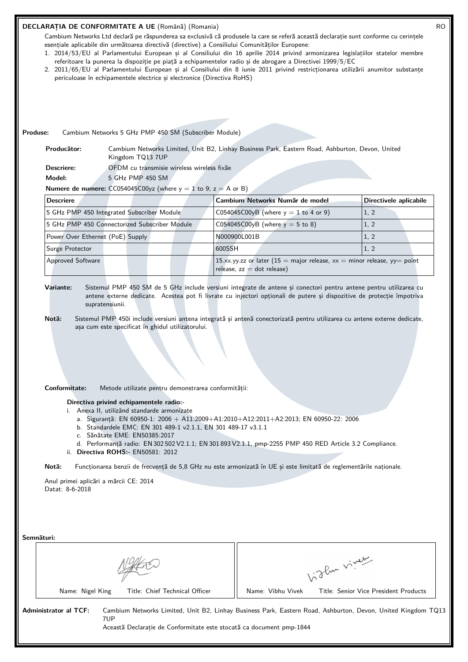#### **DECLARAȚIA DE CONFORMITATE A UE** (Română) (Romania) RO

Cambium Networks Ltd declară pe răspunderea sa exclusivă că produsele la care se referă această declarație sunt conforme cu cerințele esențiale aplicabile din următoarea directivă (directive) a Consiliului Comunităților Europene:

- 1. 2014/53/EU al Parlamentului European și al Consiliului din 16 aprilie 2014 privind armonizarea legislațiilor statelor membre referitoare la punerea la dispoziție pe piață a echipamentelor radio și de abrogare a Directivei 1999/5/EC
- 2. 2011/65/EU al Parlamentului European și al Consiliului din 8 iunie 2011 privind restricționarea utilizării anumitor substanțe periculoase în echipamentele electrice și electronice (Directiva RoHS)

# **Produse:** Cambium Networks 5 GHz PMP 450 SM (Subscriber Module)

**Producător:** Cambium Networks Limited, Unit B2, Linhay Business Park, Eastern Road, Ashburton, Devon, United Kingdom TQ13 7UP

**Descriere:** OFDM cu transmisie wireless wireless fixăe

**Model:** 5 GHz PMP 450 SM

**Numere de numere:**  $CC054045C00yz$  (where  $y = 1$  to 9;  $z = A$  or B)

| <b>Descriere</b>                              | Cambium Networks Număr de model                                                                            | Directivele aplicabile |
|-----------------------------------------------|------------------------------------------------------------------------------------------------------------|------------------------|
| 5 GHz PMP 450 Integrated Subscriber Module    | C054045C00yB (where $y = 1$ to 4 or 9)                                                                     | 1, 2                   |
| 5 GHz PMP 450 Connectorized Subscriber Module | C054045C00yB (where $y = 5$ to 8)                                                                          | 1, 2                   |
| Power Over Ethernet (PoE) Supply              | N000900L001B                                                                                               | 1, 2                   |
| Surge Protector                               | 600SSH                                                                                                     | 1, 2                   |
| <b>Approved Software</b>                      | 15.xx.yy.zz or later (15 = major release, $xx$ = minor release, yy = point<br>release, $zz = dot$ release) |                        |

**Variante:** Sistemul PMP 450 SM de 5 GHz include versiuni integrate de antene și conectori pentru antene pentru utilizarea cu antene externe dedicate. Acestea pot fi livrate cu injectori opționali de putere și dispozitive de protecție împotriva supratensiunii.

**Notă:** Sistemul PMP 450i include versiuni antena integrată și antenă conectorizată pentru utilizarea cu antene externe dedicate, așa cum este specificat în ghidul utilizatorului.

#### **Conformitate:** Metode utilizate pentru demonstrarea conformității:

**Directiva privind echipamentele radio:-**

- i. Anexa II, utilizând standarde armonizate
	- a. Siguranță: EN 60950-1: 2006 + A11:2009+A1:2010+A12:2011+A2:2013; EN 60950-22: 2006
	- b. Standardele EMC: EN 301 489-1 v2.1.1, EN 301 489-17 v3.1.1
	- c. Sănătate EME: EN50385:2017
- d. Performanță radio: EN 302 502 V2.1.1; EN 301 893 V2.1.1, pmp-2255 PMP 450 RED Article 3.2 Compliance. ii. **Directiva ROHS:-** EN50581: 2012

**Notă:** Funcționarea benzii de frecvență de 5,8 GHz nu este armonizată în UE și este limitată de reglementările naționale.

Anul primei aplicări a mărcii CE: 2014 Datat: 8-6-2018

| Semnături:                   |                                                                             |                   |                                                                                                              |
|------------------------------|-----------------------------------------------------------------------------|-------------------|--------------------------------------------------------------------------------------------------------------|
|                              |                                                                             |                   | 1. The viver                                                                                                 |
| Name: Nigel King             | Title: Chief Technical Officer                                              | Name: Vibhu Vivek | Title: Senior Vice President Products                                                                        |
| <b>Administrator al TCF:</b> | 7UP<br>Această Declaratie de Conformitate este stocată ca document pmp-1844 |                   | Cambium Networks Limited, Unit B2, Linhay Business Park, Eastern Road, Ashburton, Devon, United Kingdom TQ13 |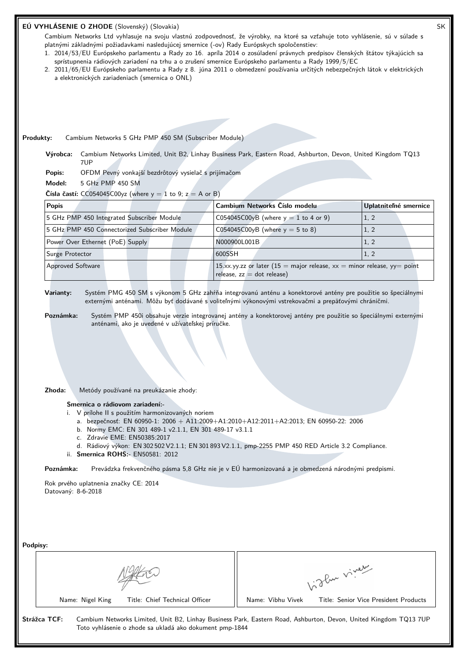| EÚ VYHLÁSENIE O ZHODE (Slovenský) (Slovakia)<br>Cambium Networks Ltd vyhlasuje na svoju vlastnú zodpovednosť, že výrobky, na ktoré sa vzťahuje toto vyhlásenie, sú v súlade s<br>platnými základnými požiadavkami nasledujúcej smernice (-ov) Rady Európskych spoločenstiev:<br>1. 2014/53/EU Európskeho parlamentu a Rady zo 16. apríla 2014 o zosúladení právnych predpisov členských štátov týkajúcich sa<br>sprístupnenia rádiových zariadení na trhu a o zrušení smernice Európskeho parlamentu a Rady 1999/5/EC<br>2. 2011/65/EU Európskeho parlamentu a Rady z 8. júna 2011 o obmedzení používania určitých nebezpečných látok v elektrických<br>a elektronických zariadeniach (smernica o ONL) |        |                                                                                                            |                                       |                       | SK |
|--------------------------------------------------------------------------------------------------------------------------------------------------------------------------------------------------------------------------------------------------------------------------------------------------------------------------------------------------------------------------------------------------------------------------------------------------------------------------------------------------------------------------------------------------------------------------------------------------------------------------------------------------------------------------------------------------------|--------|------------------------------------------------------------------------------------------------------------|---------------------------------------|-----------------------|----|
|                                                                                                                                                                                                                                                                                                                                                                                                                                                                                                                                                                                                                                                                                                        |        |                                                                                                            |                                       |                       |    |
| Produkty:<br>Cambium Networks 5 GHz PMP 450 SM (Subscriber Module)                                                                                                                                                                                                                                                                                                                                                                                                                                                                                                                                                                                                                                     |        |                                                                                                            |                                       |                       |    |
| Cambium Networks Limited, Unit B2, Linhay Business Park, Eastern Road, Ashburton, Devon, United Kingdom TQ13<br>Výrobca:<br>7UP                                                                                                                                                                                                                                                                                                                                                                                                                                                                                                                                                                        |        |                                                                                                            |                                       |                       |    |
| OFDM Pevný vonkajší bezdrôtový vysielač s prijímačom<br>Popis:                                                                                                                                                                                                                                                                                                                                                                                                                                                                                                                                                                                                                                         |        |                                                                                                            |                                       |                       |    |
| Model:<br>5 GHz PMP 450 SM                                                                                                                                                                                                                                                                                                                                                                                                                                                                                                                                                                                                                                                                             |        |                                                                                                            |                                       |                       |    |
| Čísla častí: CC054045C00yz (where $y = 1$ to 9; $z = A$ or B)                                                                                                                                                                                                                                                                                                                                                                                                                                                                                                                                                                                                                                          |        |                                                                                                            |                                       |                       |    |
| <b>Popis</b>                                                                                                                                                                                                                                                                                                                                                                                                                                                                                                                                                                                                                                                                                           |        | Cambium Networks Číslo modelu                                                                              |                                       | Uplatniteľné smernice |    |
| 5 GHz PMP 450 Integrated Subscriber Module                                                                                                                                                                                                                                                                                                                                                                                                                                                                                                                                                                                                                                                             |        | C054045C00yB (where $y = 1$ to 4 or 9)                                                                     |                                       | 1, 2                  |    |
| 5 GHz PMP 450 Connectorized Subscriber Module                                                                                                                                                                                                                                                                                                                                                                                                                                                                                                                                                                                                                                                          |        | C054045C00yB (where $y = 5$ to 8)                                                                          |                                       | 1, 2                  |    |
| Power Over Ethernet (PoE) Supply                                                                                                                                                                                                                                                                                                                                                                                                                                                                                                                                                                                                                                                                       |        | N000900L001B                                                                                               |                                       | 1, 2                  |    |
| Surge Protector                                                                                                                                                                                                                                                                                                                                                                                                                                                                                                                                                                                                                                                                                        | 600SSH |                                                                                                            |                                       | 1, 2                  |    |
| Approved Software                                                                                                                                                                                                                                                                                                                                                                                                                                                                                                                                                                                                                                                                                      |        | 15.xx.yy.zz or later (15 = major release, $xx$ = minor release, yy = point<br>release, $zz = dot$ release) |                                       |                       |    |
| Zhoda:<br>Metódy používané na preukázanie zhody:<br>Smernica o rádiovom zariadení:-<br>i. V prílohe II s použitím harmonizovaných noriem<br>a. bezpečnosť: EN 60950-1: 2006 + A11:2009+A1:2010+A12:2011+A2:2013; EN 60950-22: 2006<br>b. Normy EMC: EN 301 489-1 v2.1.1, EN 301 489-17 v3.1.1<br>c. Zdravie EME: EN50385:2017<br>d. Rádiový výkon: EN 302 502 V2.1.1; EN 301 893 V2.1.1, pmp-2255 PMP 450 RED Article 3.2 Compliance.<br>ii. Smernica ROHS:- EN50581: 2012<br>Prevádzka frekvenčného pásma 5,8 GHz nie je v EÚ harmonizovaná a je obmedzená národnými predpismi.<br>Poznámka:<br>Rok prvého uplatnenia značky CE: 2014<br>Datovaný: 8-6-2018<br>Podpisy:                               |        |                                                                                                            |                                       |                       |    |
|                                                                                                                                                                                                                                                                                                                                                                                                                                                                                                                                                                                                                                                                                                        |        |                                                                                                            |                                       |                       |    |
|                                                                                                                                                                                                                                                                                                                                                                                                                                                                                                                                                                                                                                                                                                        |        |                                                                                                            | birthe vivey                          |                       |    |
| Name: Nigel King<br>Title: Chief Technical Officer                                                                                                                                                                                                                                                                                                                                                                                                                                                                                                                                                                                                                                                     |        | Name: Vibhu Vivek                                                                                          | Title: Senior Vice President Products |                       |    |
| Strážca TCF:<br>Cambium Networks Limited, Unit B2, Linhay Business Park, Eastern Road, Ashburton, Devon, United Kingdom TQ13 7UP<br>Toto vyhlásenie o zhode sa ukladá ako dokument pmp-1844                                                                                                                                                                                                                                                                                                                                                                                                                                                                                                            |        |                                                                                                            |                                       |                       |    |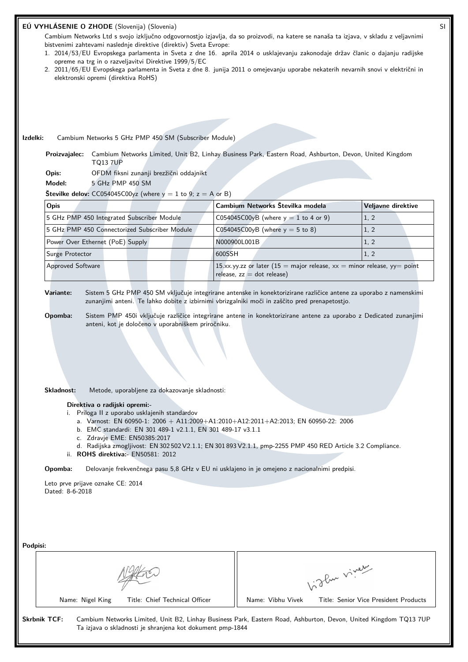| EÚ VYHLÁSENIE O ZHODE (Slovenija) (Slovenia)<br>Cambium Networks Ltd s svojo izključno odgovornostjo izjavlja, da so proizvodi, na katere se nanaša ta izjava, v skladu z veljavnimi<br>bistvenimi zahtevami naslednje direktive (direktiv) Sveta Evrope:<br>1. 2014/53/EU Evropskega parlamenta in Sveta z dne 16. aprila 2014 o usklajevanju zakonodaje držav članic o dajanju radijske<br>opreme na trg in o razveljavitvi Direktive 1999/5/EC<br>2. 2011/65/EU Evropskega parlamenta in Sveta z dne 8. junija 2011 o omejevanju uporabe nekaterih nevarnih snovi v električni in<br>elektronski opremi (direktiva RoHS)                                                                                                                                                                                                                       |        |                                                                                                            |              |                                       |  |  |
|---------------------------------------------------------------------------------------------------------------------------------------------------------------------------------------------------------------------------------------------------------------------------------------------------------------------------------------------------------------------------------------------------------------------------------------------------------------------------------------------------------------------------------------------------------------------------------------------------------------------------------------------------------------------------------------------------------------------------------------------------------------------------------------------------------------------------------------------------|--------|------------------------------------------------------------------------------------------------------------|--------------|---------------------------------------|--|--|
|                                                                                                                                                                                                                                                                                                                                                                                                                                                                                                                                                                                                                                                                                                                                                                                                                                                   |        |                                                                                                            |              |                                       |  |  |
| Izdelki:<br>Cambium Networks 5 GHz PMP 450 SM (Subscriber Module)                                                                                                                                                                                                                                                                                                                                                                                                                                                                                                                                                                                                                                                                                                                                                                                 |        |                                                                                                            |              |                                       |  |  |
| Cambium Networks Limited, Unit B2, Linhay Business Park, Eastern Road, Ashburton, Devon, United Kingdom<br>Proizvajalec:<br><b>TQ13 7UP</b><br>Opis:<br>OFDM fiksni zunanji brezžični oddajnikt                                                                                                                                                                                                                                                                                                                                                                                                                                                                                                                                                                                                                                                   |        |                                                                                                            |              |                                       |  |  |
| Model:<br>5 GHz PMP 450 SM                                                                                                                                                                                                                                                                                                                                                                                                                                                                                                                                                                                                                                                                                                                                                                                                                        |        |                                                                                                            |              |                                       |  |  |
| <b>Številke delov:</b> CC054045C00yz (where $y = 1$ to 9; $z = A$ or B)                                                                                                                                                                                                                                                                                                                                                                                                                                                                                                                                                                                                                                                                                                                                                                           |        |                                                                                                            |              |                                       |  |  |
| Opis                                                                                                                                                                                                                                                                                                                                                                                                                                                                                                                                                                                                                                                                                                                                                                                                                                              |        | Cambium Networks Številka modela                                                                           |              | Veljavne direktive                    |  |  |
| 5 GHz PMP 450 Integrated Subscriber Module                                                                                                                                                                                                                                                                                                                                                                                                                                                                                                                                                                                                                                                                                                                                                                                                        |        | C054045C00yB (where $y = 1$ to 4 or 9)                                                                     |              | 1, 2                                  |  |  |
| 5 GHz PMP 450 Connectorized Subscriber Module                                                                                                                                                                                                                                                                                                                                                                                                                                                                                                                                                                                                                                                                                                                                                                                                     |        | C054045C00yB (where $y = 5$ to 8)                                                                          |              | 1, 2                                  |  |  |
| Power Over Ethernet (PoE) Supply                                                                                                                                                                                                                                                                                                                                                                                                                                                                                                                                                                                                                                                                                                                                                                                                                  |        | N000900L001B                                                                                               |              | 1, 2                                  |  |  |
| Surge Protector                                                                                                                                                                                                                                                                                                                                                                                                                                                                                                                                                                                                                                                                                                                                                                                                                                   | 600SSH |                                                                                                            |              | 1, 2                                  |  |  |
| Approved Software                                                                                                                                                                                                                                                                                                                                                                                                                                                                                                                                                                                                                                                                                                                                                                                                                                 |        | 15.xx.yy.zz or later (15 = major release, $xx$ = minor release, yy = point<br>release, $zz = dot$ release) |              |                                       |  |  |
| Sistem PMP 450i vključuje različice integrirane antene in konektorizirane antene za uporabo z Dedicated zunanjimi<br>Opomba:<br>anteni, kot je določeno v uporabniškem priročniku.<br>Skladnost:<br>Metode, uporabljene za dokazovanje skladnosti:<br>Direktiva o radijski opremi:-<br>i. Priloga II z uporabo usklajenih standardov<br>a. Varnost: EN 60950-1: 2006 + A11:2009+A1:2010+A12:2011+A2:2013; EN 60950-22: 2006<br>b. EMC standardi: EN 301 489-1 v2.1.1, EN 301 489-17 v3.1.1<br>c. Zdravje EME: EN50385:2017<br>d. Radijska zmogljivost: EN 302 502 V2.1.1; EN 301 893 V2.1.1, pmp-2255 PMP 450 RED Article 3.2 Compliance.<br>ii. ROHS direktiva: EN50581: 2012<br>Opomba:<br>Delovanje frekvenčnega pasu 5,8 GHz v EU ni usklajeno in je omejeno z nacionalnimi predpisi.<br>Leto prve prijave oznake CE: 2014<br>Dated: 8-6-2018 |        |                                                                                                            |              |                                       |  |  |
| Podpisi:<br>Title: Chief Technical Officer<br>Name: Nigel King                                                                                                                                                                                                                                                                                                                                                                                                                                                                                                                                                                                                                                                                                                                                                                                    |        | Name: Vibhu Vivek                                                                                          | Vidley vivey | Title: Senior Vice President Products |  |  |
| <b>Skrbnik TCF:</b><br>Cambium Networks Limited, Unit B2, Linhay Business Park, Eastern Road, Ashburton, Devon, United Kingdom TQ13 7UP<br>Ta izjava o skladnosti je shranjena kot dokument pmp-1844                                                                                                                                                                                                                                                                                                                                                                                                                                                                                                                                                                                                                                              |        |                                                                                                            |              |                                       |  |  |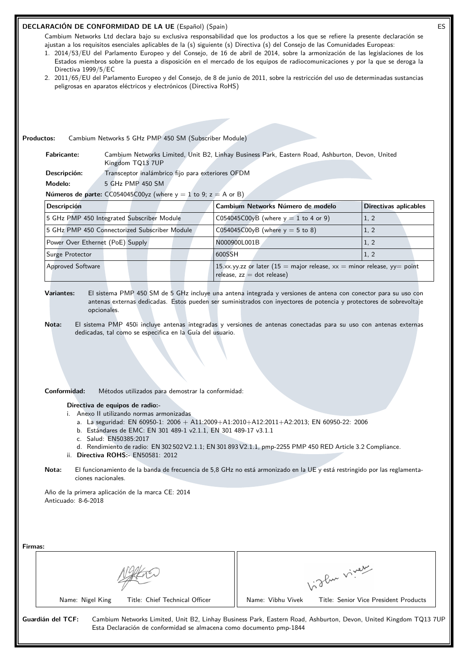# **DECLARACIÓN DE CONFORMIDAD DE LA UE** (Español) (Spain) ES

Cambium Networks Ltd declara bajo su exclusiva responsabilidad que los productos a los que se refiere la presente declaración se ajustan a los requisitos esenciales aplicables de la (s) siguiente (s) Directiva (s) del Consejo de las Comunidades Europeas:

- 1. 2014/53/EU del Parlamento Europeo y del Consejo, de 16 de abril de 2014, sobre la armonización de las legislaciones de los Estados miembros sobre la puesta a disposición en el mercado de los equipos de radiocomunicaciones y por la que se deroga la Directiva 1999/5/EC
- 2. 2011/65/EU del Parlamento Europeo y del Consejo, de 8 de junio de 2011, sobre la restricción del uso de determinadas sustancias peligrosas en aparatos eléctricos y electrónicos (Directiva RoHS)

**Productos:** Cambium Networks 5 GHz PMP 450 SM (Subscriber Module)

**Fabricante:** Cambium Networks Limited, Unit B2, Linhay Business Park, Eastern Road, Ashburton, Devon, United Kingdom TQ13 7UP

Descripción: Transceptor inalámbrico fijo para exteriores OFDM

**Modelo:** 5 GHz PMP 450 SM

**Números de parte:**  $CC054045C00yz$  (where  $y = 1$  to 9;  $z = A$  or B)

| <b>Descripción</b>                            | Cambium Networks Número de modelo                                                                          | Directivas aplicables |
|-----------------------------------------------|------------------------------------------------------------------------------------------------------------|-----------------------|
| 5 GHz PMP 450 Integrated Subscriber Module    | C054045C00yB (where $y = 1$ to 4 or 9)                                                                     | 1, 2                  |
| 5 GHz PMP 450 Connectorized Subscriber Module | C054045C00yB (where $y = 5$ to 8)                                                                          | 1, 2                  |
| Power Over Ethernet (PoE) Supply              | N000900L001B                                                                                               | 1.2                   |
| Surge Protector                               | 600SSH                                                                                                     | 1, 2                  |
| <b>Approved Software</b>                      | 15.xx.yy.zz or later (15 = major release, $xx$ = minor release, yy = point<br>release, $zz = dot$ release) |                       |

**Variantes:** El sistema PMP 450 SM de 5 GHz incluye una antena integrada y versiones de antena con conector para su uso con antenas externas dedicadas. Estos pueden ser suministrados con inyectores de potencia y protectores de sobrevoltaje opcionales.

**Nota:** El sistema PMP 450i incluye antenas integradas y versiones de antenas conectadas para su uso con antenas externas dedicadas, tal como se especifica en la Guía del usuario.

**Conformidad:** Métodos utilizados para demostrar la conformidad:

**Directiva de equipos de radio:-**

i. Anexo II utilizando normas armonizadas

- a. La seguridad: EN 60950-1: 2006 + A11:2009+A1:2010+A12:2011+A2:2013; EN 60950-22: 2006
- b. Estándares de EMC: EN 301 489-1 v2.1.1, EN 301 489-17 v3.1.1
- c. Salud: EN50385:2017
- d. Rendimiento de radio: EN 302 502 V2.1.1; EN 301 893 V2.1.1, pmp-2255 PMP 450 RED Article 3.2 Compliance.
- ii. **Directiva ROHS:-** EN50581: 2012
- **Nota:** El funcionamiento de la banda de frecuencia de 5,8 GHz no está armonizado en la UE y está restringido por las reglamentaciones nacionales.

Año de la primera aplicación de la marca CE: 2014 Anticuado: 8-6-2018

| Firmas:           |                                                                     |                                                                                                                  |  |
|-------------------|---------------------------------------------------------------------|------------------------------------------------------------------------------------------------------------------|--|
|                   |                                                                     | of der viver                                                                                                     |  |
|                   | Title: Chief Technical Officer<br>Name: Nigel King                  | Name: Vibhu Vivek<br>Title: Senior Vice President Products                                                       |  |
| Guardián del TCF: | Esta Declaración de conformidad se almacena como documento pmp-1844 | Cambium Networks Limited, Unit B2, Linhay Business Park, Eastern Road, Ashburton, Devon, United Kingdom TQ13 7UP |  |